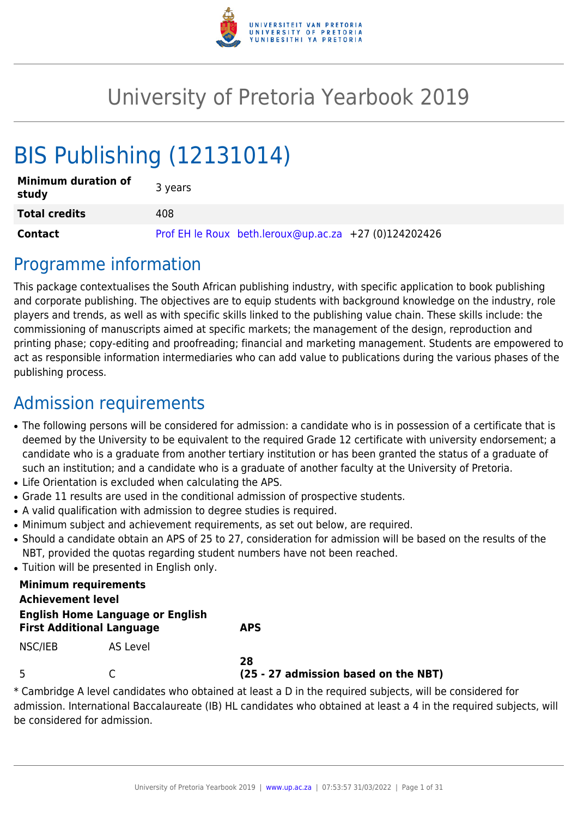

# University of Pretoria Yearbook 2019

# BIS Publishing (12131014)

| <b>Minimum duration of</b><br>study | 3 years                                               |
|-------------------------------------|-------------------------------------------------------|
| <b>Total credits</b>                | 408                                                   |
| <b>Contact</b>                      | Prof EH le Roux beth.leroux@up.ac.za +27 (0)124202426 |

# Programme information

This package contextualises the South African publishing industry, with specific application to book publishing and corporate publishing. The objectives are to equip students with background knowledge on the industry, role players and trends, as well as with specific skills linked to the publishing value chain. These skills include: the commissioning of manuscripts aimed at specific markets; the management of the design, reproduction and printing phase; copy-editing and proofreading; financial and marketing management. Students are empowered to act as responsible information intermediaries who can add value to publications during the various phases of the publishing process.

# Admission requirements

- The following persons will be considered for admission: a candidate who is in possession of a certificate that is deemed by the University to be equivalent to the required Grade 12 certificate with university endorsement; a candidate who is a graduate from another tertiary institution or has been granted the status of a graduate of such an institution; and a candidate who is a graduate of another faculty at the University of Pretoria.
- Life Orientation is excluded when calculating the APS.
- Grade 11 results are used in the conditional admission of prospective students.
- A valid qualification with admission to degree studies is required.
- Minimum subject and achievement requirements, as set out below, are required.
- Should a candidate obtain an APS of 25 to 27, consideration for admission will be based on the results of the NBT, provided the quotas regarding student numbers have not been reached.
- Tuition will be presented in English only.

| <b>Minimum requirements</b>                                                 |          |                                            |
|-----------------------------------------------------------------------------|----------|--------------------------------------------|
| <b>Achievement level</b>                                                    |          |                                            |
| <b>English Home Language or English</b><br><b>First Additional Language</b> |          | <b>APS</b>                                 |
| NSC/IEB                                                                     | AS Level |                                            |
| 5                                                                           |          | 28<br>(25 - 27 admission based on the NBT) |

\* Cambridge A level candidates who obtained at least a D in the required subjects, will be considered for admission. International Baccalaureate (IB) HL candidates who obtained at least a 4 in the required subjects, will be considered for admission.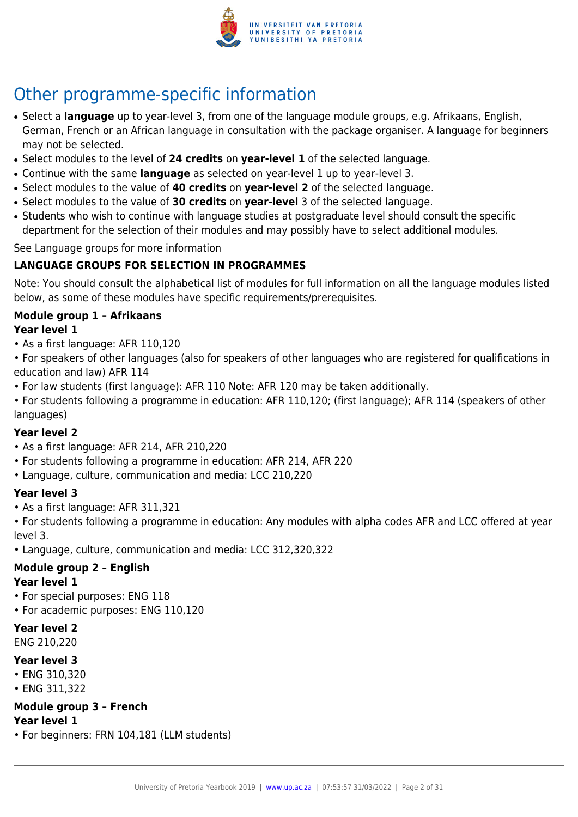

# Other programme-specific information

- Select a **language** up to year-level 3, from one of the language module groups, e.g. Afrikaans, English, German, French or an African language in consultation with the package organiser. A language for beginners may not be selected.
- Select modules to the level of **24 credits** on **year-level 1** of the selected language.
- Continue with the same **language** as selected on year-level 1 up to year-level 3.
- Select modules to the value of **40 credits** on **year-level 2** of the selected language.
- Select modules to the value of **30 credits** on **year-level** 3 of the selected language.
- Students who wish to continue with language studies at postgraduate level should consult the specific department for the selection of their modules and may possibly have to select additional modules.

See Language groups for more information

## **LANGUAGE GROUPS FOR SELECTION IN PROGRAMMES**

Note: You should consult the alphabetical list of modules for full information on all the language modules listed below, as some of these modules have specific requirements/prerequisites.

## **Module group 1 – Afrikaans**

## **Year level 1**

- As a first language: AFR 110,120
- For speakers of other languages (also for speakers of other languages who are registered for qualifications in education and law) AFR 114
- For law students (first language): AFR 110 Note: AFR 120 may be taken additionally.
- For students following a programme in education: AFR 110,120; (first language); AFR 114 (speakers of other languages)

#### **Year level 2**

- As a first language: AFR 214, AFR 210,220
- For students following a programme in education: AFR 214, AFR 220
- Language, culture, communication and media: LCC 210,220

## **Year level 3**

- As a first language: AFR 311,321
- For students following a programme in education: Any modules with alpha codes AFR and LCC offered at year level 3.
- Language, culture, communication and media: LCC 312,320,322

## **Module group 2 – English**

## **Year level 1**

- For special purposes: ENG 118
- For academic purposes: ENG 110,120

#### **Year level 2** ENG 210,220

## **Year level 3**

- ENG 310,320
- ENG 311,322

## **Module group 3 – French**

- **Year level 1**
- For beginners: FRN 104,181 (LLM students)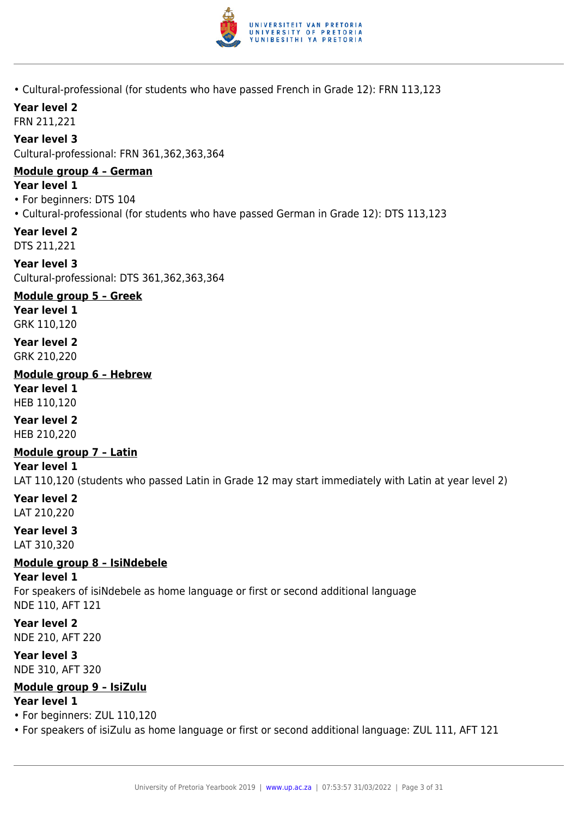

• Cultural-professional (for students who have passed French in Grade 12): FRN 113,123

## **Year level 2**

FRN 211,221

#### **Year level 3**

Cultural-professional: FRN 361,362,363,364

#### **Module group 4 – German**

#### **Year level 1**

- For beginners: DTS 104
- Cultural-professional (for students who have passed German in Grade 12): DTS 113,123

#### **Year level 2**

DTS 211,221

**Year level 3** Cultural-professional: DTS 361,362,363,364

## **Module group 5 – Greek**

**Year level 1** GRK 110,120

#### **Year level 2** GRK 210,220

#### **Module group 6 – Hebrew**

**Year level 1** HEB 110,120

## **Year level 2**

HEB 210,220

#### **Module group 7 – Latin**

#### **Year level 1**

LAT 110,120 (students who passed Latin in Grade 12 may start immediately with Latin at year level 2)

#### **Year level 2** LAT 210,220

**Year level 3**

LAT 310,320

## **Module group 8 – IsiNdebele**

#### **Year level 1**

For speakers of isiNdebele as home language or first or second additional language NDE 110, AFT 121

**Year level 2** NDE 210, AFT 220

#### **Year level 3** NDE 310, AFT 320

## **Module group 9 – IsiZulu**

#### **Year level 1**

- For beginners: ZUL 110,120
- For speakers of isiZulu as home language or first or second additional language: ZUL 111, AFT 121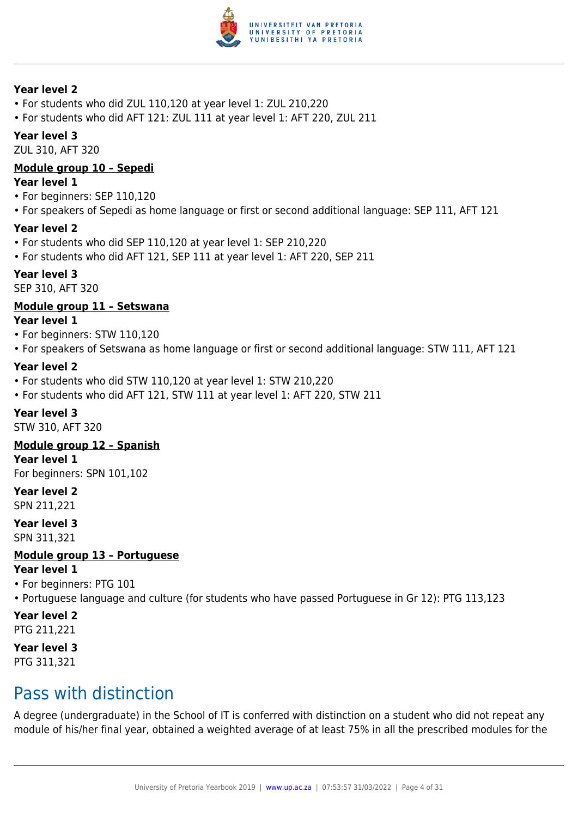

#### **Year level 2**

- For students who did ZUL 110,120 at year level 1: ZUL 210,220
- For students who did AFT 121: ZUL 111 at year level 1: AFT 220, ZUL 211

#### **Year level 3**

ZUL 310, AFT 320

#### **Module group 10 – Sepedi**

#### **Year level 1**

- For beginners: SEP 110,120
- For speakers of Sepedi as home language or first or second additional language: SEP 111, AFT 121

#### **Year level 2**

- For students who did SEP 110,120 at year level 1: SEP 210,220
- For students who did AFT 121, SEP 111 at year level 1: AFT 220, SEP 211

#### **Year level 3**

SEP 310, AFT 320

#### **Module group 11 – Setswana**

**Year level 1**

- For beginners: STW 110,120
- For speakers of Setswana as home language or first or second additional language: STW 111, AFT 121

#### **Year level 2**

- For students who did STW 110,120 at year level 1: STW 210,220
- For students who did AFT 121, STW 111 at year level 1: AFT 220, STW 211

#### **Year level 3**

STW 310, AFT 320

#### **Module group 12 – Spanish**

**Year level 1**

For beginners: SPN 101,102

**Year level 2** SPN 211,221

## **Year level 3**

SPN 311,321

## **Module group 13 – Portuguese**

## **Year level 1**

• For beginners: PTG 101

• Portuguese language and culture (for students who have passed Portuguese in Gr 12): PTG 113,123

#### **Year level 2** PTG 211,221

#### **Year level 3** PTG 311,321

## Pass with distinction

A degree (undergraduate) in the School of IT is conferred with distinction on a student who did not repeat any module of his/her final year, obtained a weighted average of at least 75% in all the prescribed modules for the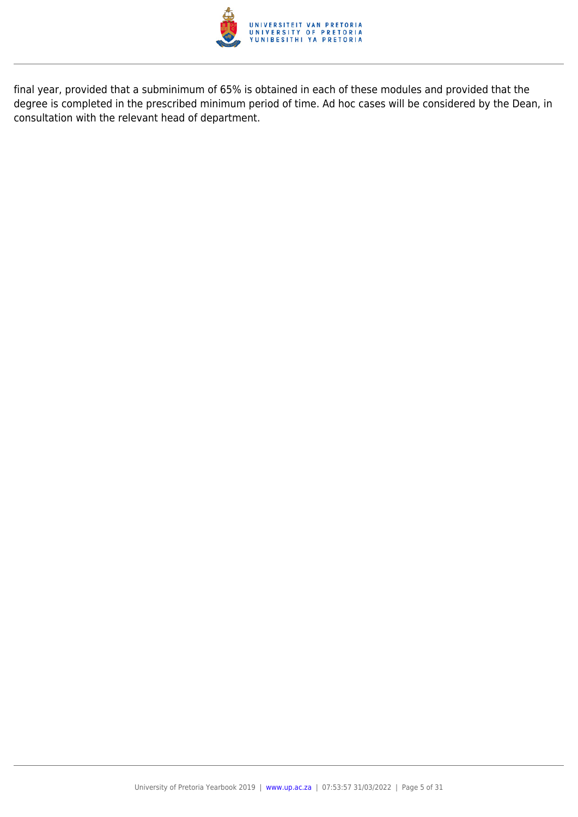

final year, provided that a subminimum of 65% is obtained in each of these modules and provided that the degree is completed in the prescribed minimum period of time. Ad hoc cases will be considered by the Dean, in consultation with the relevant head of department.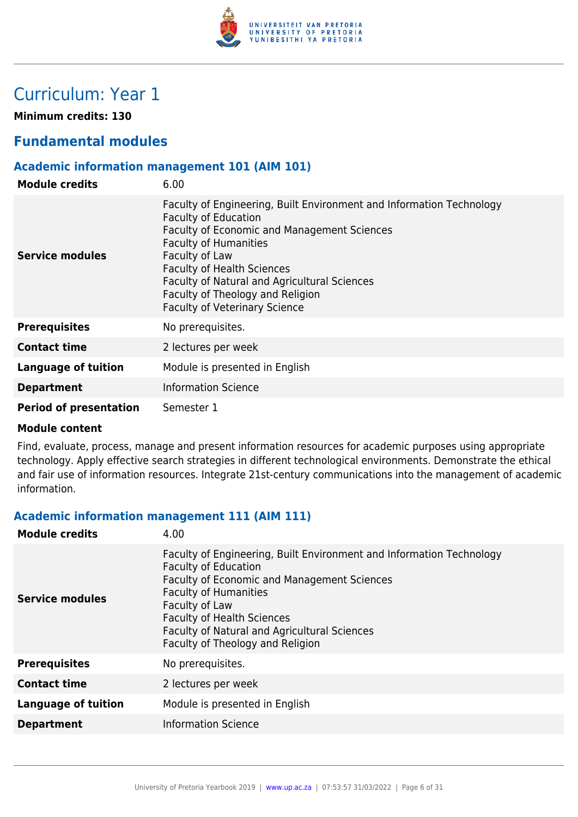

# Curriculum: Year 1

**Minimum credits: 130**

## **Fundamental modules**

#### **Academic information management 101 (AIM 101)**

| <b>Module credits</b>         | 6.00                                                                                                                                                                                                                                                                                                                                                                  |
|-------------------------------|-----------------------------------------------------------------------------------------------------------------------------------------------------------------------------------------------------------------------------------------------------------------------------------------------------------------------------------------------------------------------|
| Service modules               | Faculty of Engineering, Built Environment and Information Technology<br><b>Faculty of Education</b><br>Faculty of Economic and Management Sciences<br><b>Faculty of Humanities</b><br>Faculty of Law<br><b>Faculty of Health Sciences</b><br>Faculty of Natural and Agricultural Sciences<br>Faculty of Theology and Religion<br><b>Faculty of Veterinary Science</b> |
| <b>Prerequisites</b>          | No prerequisites.                                                                                                                                                                                                                                                                                                                                                     |
| <b>Contact time</b>           | 2 lectures per week                                                                                                                                                                                                                                                                                                                                                   |
| <b>Language of tuition</b>    | Module is presented in English                                                                                                                                                                                                                                                                                                                                        |
| <b>Department</b>             | <b>Information Science</b>                                                                                                                                                                                                                                                                                                                                            |
| <b>Period of presentation</b> | Semester 1                                                                                                                                                                                                                                                                                                                                                            |

#### **Module content**

Find, evaluate, process, manage and present information resources for academic purposes using appropriate technology. Apply effective search strategies in different technological environments. Demonstrate the ethical and fair use of information resources. Integrate 21st-century communications into the management of academic information.

#### **Academic information management 111 (AIM 111)**

| <b>Module credits</b>      | 4.00                                                                                                                                                                                                                                                                                                                                 |
|----------------------------|--------------------------------------------------------------------------------------------------------------------------------------------------------------------------------------------------------------------------------------------------------------------------------------------------------------------------------------|
| Service modules            | Faculty of Engineering, Built Environment and Information Technology<br><b>Faculty of Education</b><br><b>Faculty of Economic and Management Sciences</b><br><b>Faculty of Humanities</b><br>Faculty of Law<br><b>Faculty of Health Sciences</b><br>Faculty of Natural and Agricultural Sciences<br>Faculty of Theology and Religion |
| <b>Prerequisites</b>       | No prerequisites.                                                                                                                                                                                                                                                                                                                    |
| <b>Contact time</b>        | 2 lectures per week                                                                                                                                                                                                                                                                                                                  |
| <b>Language of tuition</b> | Module is presented in English                                                                                                                                                                                                                                                                                                       |
| <b>Department</b>          | <b>Information Science</b>                                                                                                                                                                                                                                                                                                           |
|                            |                                                                                                                                                                                                                                                                                                                                      |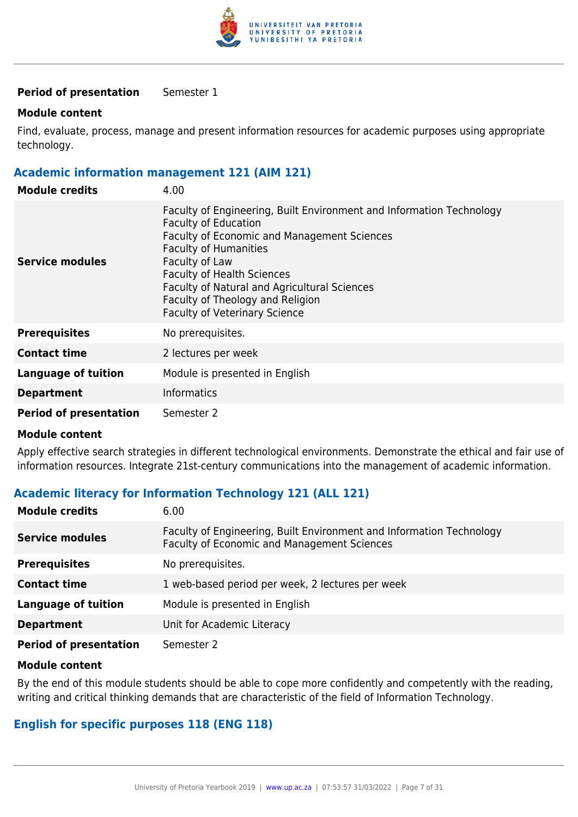

#### **Period of presentation** Semester 1

#### **Module content**

Find, evaluate, process, manage and present information resources for academic purposes using appropriate technology.

#### **Academic information management 121 (AIM 121)**

| <b>Module credits</b>         | 4.00                                                                                                                                                                                                                                                                                                                                                                         |
|-------------------------------|------------------------------------------------------------------------------------------------------------------------------------------------------------------------------------------------------------------------------------------------------------------------------------------------------------------------------------------------------------------------------|
| Service modules               | Faculty of Engineering, Built Environment and Information Technology<br><b>Faculty of Education</b><br><b>Faculty of Economic and Management Sciences</b><br><b>Faculty of Humanities</b><br>Faculty of Law<br><b>Faculty of Health Sciences</b><br>Faculty of Natural and Agricultural Sciences<br>Faculty of Theology and Religion<br><b>Faculty of Veterinary Science</b> |
| <b>Prerequisites</b>          | No prerequisites.                                                                                                                                                                                                                                                                                                                                                            |
| <b>Contact time</b>           | 2 lectures per week                                                                                                                                                                                                                                                                                                                                                          |
| <b>Language of tuition</b>    | Module is presented in English                                                                                                                                                                                                                                                                                                                                               |
| <b>Department</b>             | <b>Informatics</b>                                                                                                                                                                                                                                                                                                                                                           |
| <b>Period of presentation</b> | Semester 2                                                                                                                                                                                                                                                                                                                                                                   |

#### **Module content**

Apply effective search strategies in different technological environments. Demonstrate the ethical and fair use of information resources. Integrate 21st-century communications into the management of academic information.

#### **Academic literacy for Information Technology 121 (ALL 121)**

| <b>Module credits</b>         | 6.00                                                                                                                |
|-------------------------------|---------------------------------------------------------------------------------------------------------------------|
| <b>Service modules</b>        | Faculty of Engineering, Built Environment and Information Technology<br>Faculty of Economic and Management Sciences |
| <b>Prerequisites</b>          | No prerequisites.                                                                                                   |
| <b>Contact time</b>           | 1 web-based period per week, 2 lectures per week                                                                    |
| <b>Language of tuition</b>    | Module is presented in English                                                                                      |
| <b>Department</b>             | Unit for Academic Literacy                                                                                          |
| <b>Period of presentation</b> | Semester 2                                                                                                          |

#### **Module content**

By the end of this module students should be able to cope more confidently and competently with the reading, writing and critical thinking demands that are characteristic of the field of Information Technology.

#### **English for specific purposes 118 (ENG 118)**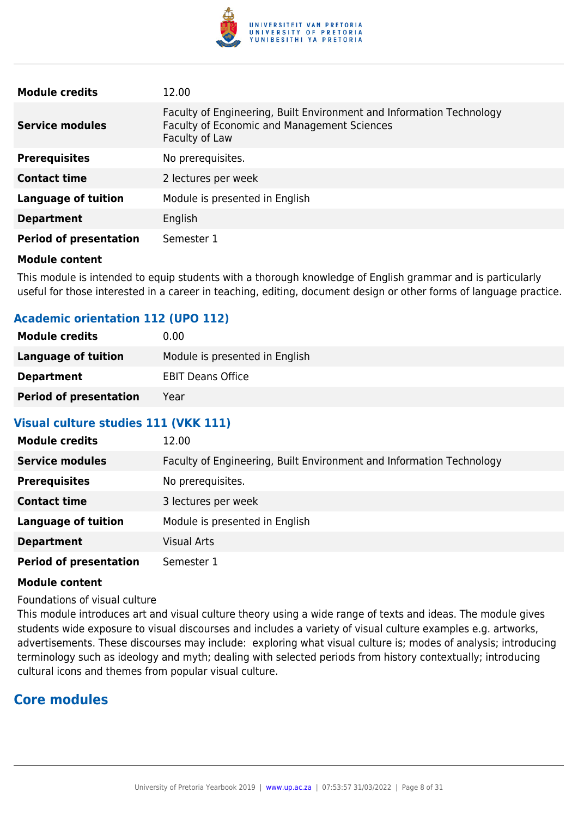

| <b>Module credits</b>         | 12.00                                                                                                                                 |
|-------------------------------|---------------------------------------------------------------------------------------------------------------------------------------|
| <b>Service modules</b>        | Faculty of Engineering, Built Environment and Information Technology<br>Faculty of Economic and Management Sciences<br>Faculty of Law |
| <b>Prerequisites</b>          | No prerequisites.                                                                                                                     |
| <b>Contact time</b>           | 2 lectures per week                                                                                                                   |
| <b>Language of tuition</b>    | Module is presented in English                                                                                                        |
| <b>Department</b>             | English                                                                                                                               |
| <b>Period of presentation</b> | Semester 1                                                                                                                            |

This module is intended to equip students with a thorough knowledge of English grammar and is particularly useful for those interested in a career in teaching, editing, document design or other forms of language practice.

#### **Academic orientation 112 (UPO 112)**

| <b>Module credits</b>         | 0.00                           |
|-------------------------------|--------------------------------|
| Language of tuition           | Module is presented in English |
| <b>Department</b>             | <b>EBIT Deans Office</b>       |
| <b>Period of presentation</b> | Year                           |

#### **Visual culture studies 111 (VKK 111)**

| <b>Module credits</b>         | 12.00                                                                |
|-------------------------------|----------------------------------------------------------------------|
| <b>Service modules</b>        | Faculty of Engineering, Built Environment and Information Technology |
| <b>Prerequisites</b>          | No prerequisites.                                                    |
| <b>Contact time</b>           | 3 lectures per week                                                  |
| <b>Language of tuition</b>    | Module is presented in English                                       |
| <b>Department</b>             | <b>Visual Arts</b>                                                   |
| <b>Period of presentation</b> | Semester 1                                                           |

#### **Module content**

Foundations of visual culture

This module introduces art and visual culture theory using a wide range of texts and ideas. The module gives students wide exposure to visual discourses and includes a variety of visual culture examples e.g. artworks, advertisements. These discourses may include: exploring what visual culture is; modes of analysis; introducing terminology such as ideology and myth; dealing with selected periods from history contextually; introducing cultural icons and themes from popular visual culture.

## **Core modules**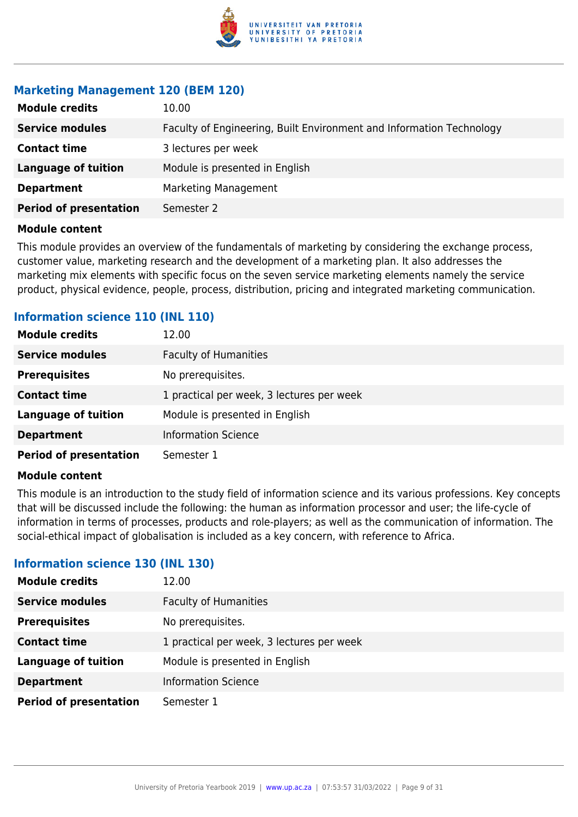

#### **Marketing Management 120 (BEM 120)**

| <b>Module credits</b>         | 10.00                                                                |
|-------------------------------|----------------------------------------------------------------------|
| <b>Service modules</b>        | Faculty of Engineering, Built Environment and Information Technology |
| <b>Contact time</b>           | 3 lectures per week                                                  |
| <b>Language of tuition</b>    | Module is presented in English                                       |
| <b>Department</b>             | Marketing Management                                                 |
| <b>Period of presentation</b> | Semester 2                                                           |
|                               |                                                                      |

#### **Module content**

This module provides an overview of the fundamentals of marketing by considering the exchange process, customer value, marketing research and the development of a marketing plan. It also addresses the marketing mix elements with specific focus on the seven service marketing elements namely the service product, physical evidence, people, process, distribution, pricing and integrated marketing communication.

## **Information science 110 (INL 110)**

| <b>Module credits</b>         | 12.00                                     |
|-------------------------------|-------------------------------------------|
| <b>Service modules</b>        | <b>Faculty of Humanities</b>              |
| <b>Prerequisites</b>          | No prerequisites.                         |
| <b>Contact time</b>           | 1 practical per week, 3 lectures per week |
| <b>Language of tuition</b>    | Module is presented in English            |
| <b>Department</b>             | <b>Information Science</b>                |
| <b>Period of presentation</b> | Semester 1                                |

#### **Module content**

This module is an introduction to the study field of information science and its various professions. Key concepts that will be discussed include the following: the human as information processor and user; the life-cycle of information in terms of processes, products and role-players; as well as the communication of information. The social-ethical impact of globalisation is included as a key concern, with reference to Africa.

#### **Information science 130 (INL 130)**

| <b>Module credits</b>         | 12.00                                     |
|-------------------------------|-------------------------------------------|
| <b>Service modules</b>        | <b>Faculty of Humanities</b>              |
| <b>Prerequisites</b>          | No prerequisites.                         |
| <b>Contact time</b>           | 1 practical per week, 3 lectures per week |
| <b>Language of tuition</b>    | Module is presented in English            |
| <b>Department</b>             | <b>Information Science</b>                |
| <b>Period of presentation</b> | Semester 1                                |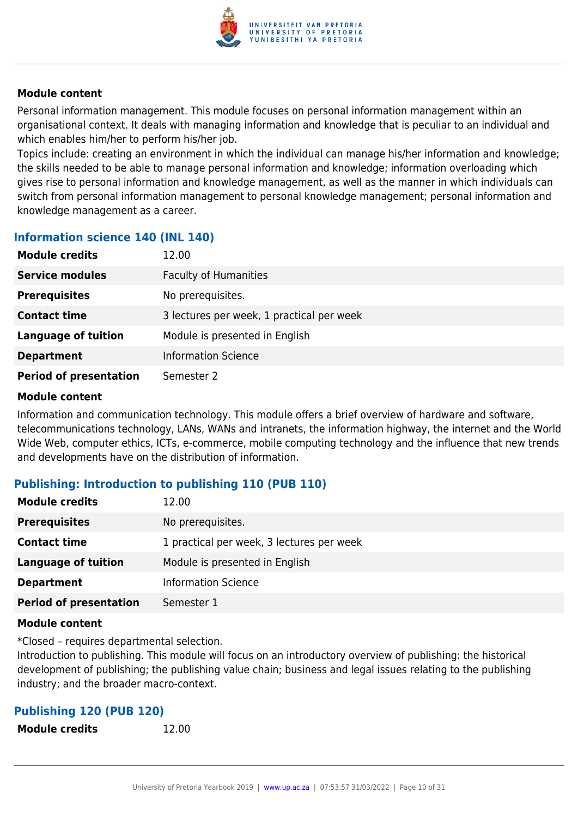

Personal information management. This module focuses on personal information management within an organisational context. It deals with managing information and knowledge that is peculiar to an individual and which enables him/her to perform his/her job.

Topics include: creating an environment in which the individual can manage his/her information and knowledge; the skills needed to be able to manage personal information and knowledge; information overloading which gives rise to personal information and knowledge management, as well as the manner in which individuals can switch from personal information management to personal knowledge management; personal information and knowledge management as a career.

#### **Information science 140 (INL 140)**

| <b>Module credits</b>         | 12.00                                     |
|-------------------------------|-------------------------------------------|
| <b>Service modules</b>        | <b>Faculty of Humanities</b>              |
| <b>Prerequisites</b>          | No prerequisites.                         |
| <b>Contact time</b>           | 3 lectures per week, 1 practical per week |
| <b>Language of tuition</b>    | Module is presented in English            |
| <b>Department</b>             | <b>Information Science</b>                |
| <b>Period of presentation</b> | Semester 2                                |

#### **Module content**

Information and communication technology. This module offers a brief overview of hardware and software, telecommunications technology, LANs, WANs and intranets, the information highway, the internet and the World Wide Web, computer ethics, ICTs, e-commerce, mobile computing technology and the influence that new trends and developments have on the distribution of information.

#### **Publishing: Introduction to publishing 110 (PUB 110)**

| <b>Module credits</b>         | 12.00                                     |
|-------------------------------|-------------------------------------------|
| <b>Prerequisites</b>          | No prerequisites.                         |
| <b>Contact time</b>           | 1 practical per week, 3 lectures per week |
| <b>Language of tuition</b>    | Module is presented in English            |
| <b>Department</b>             | <b>Information Science</b>                |
| <b>Period of presentation</b> | Semester 1                                |

#### **Module content**

\*Closed – requires departmental selection.

Introduction to publishing. This module will focus on an introductory overview of publishing: the historical development of publishing; the publishing value chain; business and legal issues relating to the publishing industry; and the broader macro-context.

## **Publishing 120 (PUB 120)**

| <b>Module credits</b> | 12.00 |
|-----------------------|-------|
|                       |       |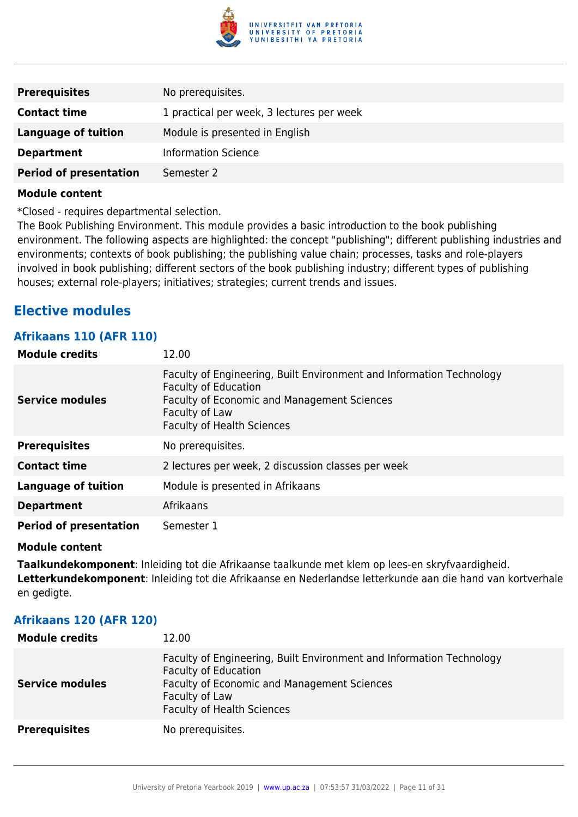

| <b>Prerequisites</b>          | No prerequisites.                         |
|-------------------------------|-------------------------------------------|
| <b>Contact time</b>           | 1 practical per week, 3 lectures per week |
| Language of tuition           | Module is presented in English            |
| <b>Department</b>             | <b>Information Science</b>                |
| <b>Period of presentation</b> | Semester 2                                |
|                               |                                           |

\*Closed - requires departmental selection.

The Book Publishing Environment. This module provides a basic introduction to the book publishing environment. The following aspects are highlighted: the concept "publishing"; different publishing industries and environments; contexts of book publishing; the publishing value chain; processes, tasks and role-players involved in book publishing; different sectors of the book publishing industry; different types of publishing houses; external role-players; initiatives; strategies; current trends and issues.

## **Elective modules**

#### **Afrikaans 110 (AFR 110)**

| <b>Module credits</b>         | 12.00                                                                                                                                                                                                     |
|-------------------------------|-----------------------------------------------------------------------------------------------------------------------------------------------------------------------------------------------------------|
| <b>Service modules</b>        | Faculty of Engineering, Built Environment and Information Technology<br><b>Faculty of Education</b><br>Faculty of Economic and Management Sciences<br>Faculty of Law<br><b>Faculty of Health Sciences</b> |
| <b>Prerequisites</b>          | No prerequisites.                                                                                                                                                                                         |
| <b>Contact time</b>           | 2 lectures per week, 2 discussion classes per week                                                                                                                                                        |
| <b>Language of tuition</b>    | Module is presented in Afrikaans                                                                                                                                                                          |
| <b>Department</b>             | Afrikaans                                                                                                                                                                                                 |
| <b>Period of presentation</b> | Semester 1                                                                                                                                                                                                |

#### **Module content**

**Taalkundekomponent**: Inleiding tot die Afrikaanse taalkunde met klem op lees-en skryfvaardigheid. **Letterkundekomponent**: Inleiding tot die Afrikaanse en Nederlandse letterkunde aan die hand van kortverhale en gedigte.

#### **Afrikaans 120 (AFR 120)**

| <b>Module credits</b>  | 12.00                                                                                                                                                                                                     |
|------------------------|-----------------------------------------------------------------------------------------------------------------------------------------------------------------------------------------------------------|
| <b>Service modules</b> | Faculty of Engineering, Built Environment and Information Technology<br><b>Faculty of Education</b><br>Faculty of Economic and Management Sciences<br>Faculty of Law<br><b>Faculty of Health Sciences</b> |
| <b>Prerequisites</b>   | No prerequisites.                                                                                                                                                                                         |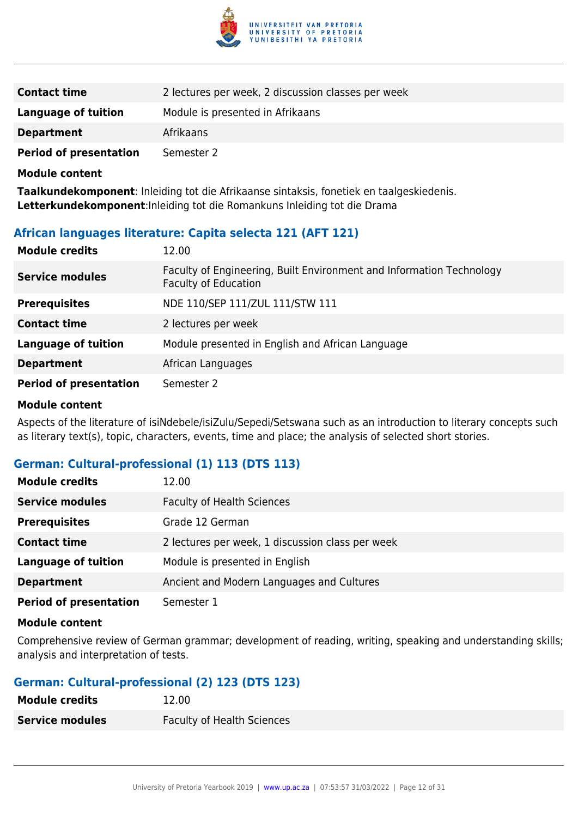

| <b>Contact time</b>           | 2 lectures per week, 2 discussion classes per week |
|-------------------------------|----------------------------------------------------|
| <b>Language of tuition</b>    | Module is presented in Afrikaans                   |
| <b>Department</b>             | Afrikaans                                          |
| <b>Period of presentation</b> | Semester 2                                         |

**Taalkundekomponent**: Inleiding tot die Afrikaanse sintaksis, fonetiek en taalgeskiedenis. **Letterkundekomponent**:Inleiding tot die Romankuns Inleiding tot die Drama

#### **African languages literature: Capita selecta 121 (AFT 121)**

| <b>Module credits</b>         | 12.00                                                                                               |
|-------------------------------|-----------------------------------------------------------------------------------------------------|
| <b>Service modules</b>        | Faculty of Engineering, Built Environment and Information Technology<br><b>Faculty of Education</b> |
| <b>Prerequisites</b>          | NDE 110/SEP 111/ZUL 111/STW 111                                                                     |
| <b>Contact time</b>           | 2 lectures per week                                                                                 |
| <b>Language of tuition</b>    | Module presented in English and African Language                                                    |
| <b>Department</b>             | African Languages                                                                                   |
| <b>Period of presentation</b> | Semester 2                                                                                          |

#### **Module content**

Aspects of the literature of isiNdebele/isiZulu/Sepedi/Setswana such as an introduction to literary concepts such as literary text(s), topic, characters, events, time and place; the analysis of selected short stories.

#### **German: Cultural-professional (1) 113 (DTS 113)**

| <b>Module credits</b>         | 12.00                                            |
|-------------------------------|--------------------------------------------------|
| <b>Service modules</b>        | <b>Faculty of Health Sciences</b>                |
| <b>Prerequisites</b>          | Grade 12 German                                  |
| <b>Contact time</b>           | 2 lectures per week, 1 discussion class per week |
| <b>Language of tuition</b>    | Module is presented in English                   |
| <b>Department</b>             | Ancient and Modern Languages and Cultures        |
| <b>Period of presentation</b> | Semester 1                                       |

#### **Module content**

Comprehensive review of German grammar; development of reading, writing, speaking and understanding skills; analysis and interpretation of tests.

#### **German: Cultural-professional (2) 123 (DTS 123)**

| <b>Module credits</b>  | 12.00                             |
|------------------------|-----------------------------------|
| <b>Service modules</b> | <b>Faculty of Health Sciences</b> |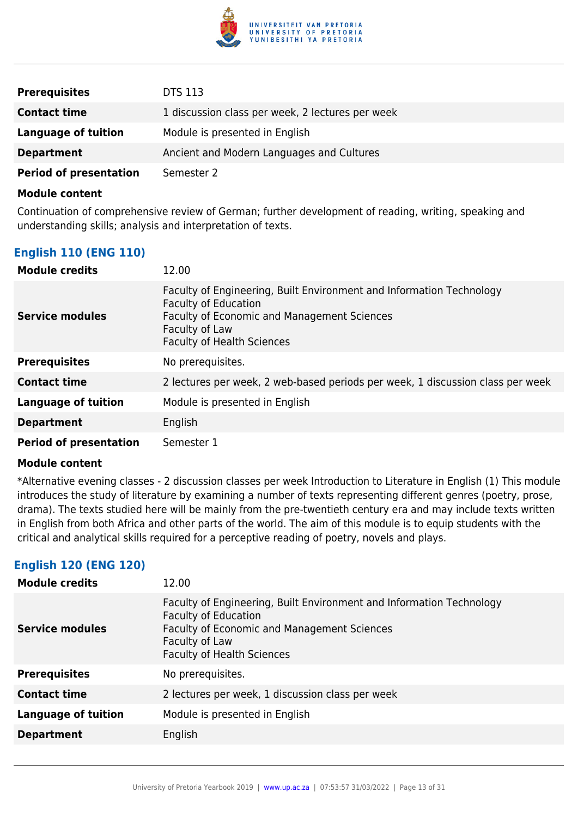

| <b>Prerequisites</b>          | <b>DTS 113</b>                                   |
|-------------------------------|--------------------------------------------------|
| <b>Contact time</b>           | 1 discussion class per week, 2 lectures per week |
| Language of tuition           | Module is presented in English                   |
| <b>Department</b>             | Ancient and Modern Languages and Cultures        |
| <b>Period of presentation</b> | Semester 2                                       |

Continuation of comprehensive review of German; further development of reading, writing, speaking and understanding skills; analysis and interpretation of texts.

#### **English 110 (ENG 110)**

| <b>Module credits</b>         | 12.00                                                                                                                                                                                                     |
|-------------------------------|-----------------------------------------------------------------------------------------------------------------------------------------------------------------------------------------------------------|
| <b>Service modules</b>        | Faculty of Engineering, Built Environment and Information Technology<br><b>Faculty of Education</b><br>Faculty of Economic and Management Sciences<br>Faculty of Law<br><b>Faculty of Health Sciences</b> |
| <b>Prerequisites</b>          | No prerequisites.                                                                                                                                                                                         |
| <b>Contact time</b>           | 2 lectures per week, 2 web-based periods per week, 1 discussion class per week                                                                                                                            |
| <b>Language of tuition</b>    | Module is presented in English                                                                                                                                                                            |
| <b>Department</b>             | English                                                                                                                                                                                                   |
| <b>Period of presentation</b> | Semester 1                                                                                                                                                                                                |

#### **Module content**

\*Alternative evening classes - 2 discussion classes per week Introduction to Literature in English (1) This module introduces the study of literature by examining a number of texts representing different genres (poetry, prose, drama). The texts studied here will be mainly from the pre-twentieth century era and may include texts written in English from both Africa and other parts of the world. The aim of this module is to equip students with the critical and analytical skills required for a perceptive reading of poetry, novels and plays.

#### **English 120 (ENG 120)**

| <b>Module credits</b>      | 12.00                                                                                                                                                                                                     |
|----------------------------|-----------------------------------------------------------------------------------------------------------------------------------------------------------------------------------------------------------|
| <b>Service modules</b>     | Faculty of Engineering, Built Environment and Information Technology<br><b>Faculty of Education</b><br>Faculty of Economic and Management Sciences<br>Faculty of Law<br><b>Faculty of Health Sciences</b> |
| <b>Prerequisites</b>       | No prerequisites.                                                                                                                                                                                         |
| <b>Contact time</b>        | 2 lectures per week, 1 discussion class per week                                                                                                                                                          |
| <b>Language of tuition</b> | Module is presented in English                                                                                                                                                                            |
| <b>Department</b>          | English                                                                                                                                                                                                   |
|                            |                                                                                                                                                                                                           |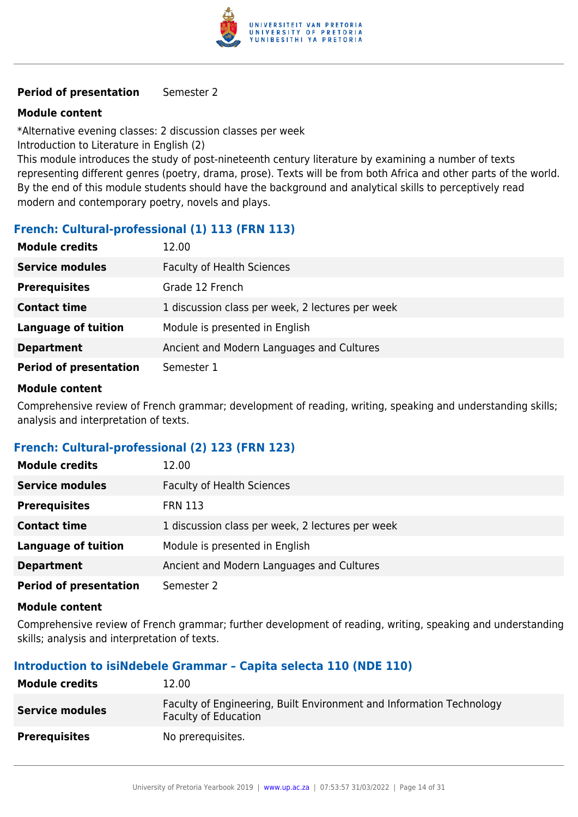

#### **Period of presentation** Semester 2

#### **Module content**

\*Alternative evening classes: 2 discussion classes per week

Introduction to Literature in English (2)

This module introduces the study of post-nineteenth century literature by examining a number of texts representing different genres (poetry, drama, prose). Texts will be from both Africa and other parts of the world. By the end of this module students should have the background and analytical skills to perceptively read modern and contemporary poetry, novels and plays.

#### **French: Cultural-professional (1) 113 (FRN 113)**

| <b>Module credits</b>         | 12.00                                            |
|-------------------------------|--------------------------------------------------|
| <b>Service modules</b>        | <b>Faculty of Health Sciences</b>                |
| <b>Prerequisites</b>          | Grade 12 French                                  |
| <b>Contact time</b>           | 1 discussion class per week, 2 lectures per week |
| <b>Language of tuition</b>    | Module is presented in English                   |
| <b>Department</b>             | Ancient and Modern Languages and Cultures        |
| <b>Period of presentation</b> | Semester 1                                       |

#### **Module content**

Comprehensive review of French grammar; development of reading, writing, speaking and understanding skills; analysis and interpretation of texts.

#### **French: Cultural-professional (2) 123 (FRN 123)**

| <b>Module credits</b>         | 12.00                                            |
|-------------------------------|--------------------------------------------------|
| <b>Service modules</b>        | <b>Faculty of Health Sciences</b>                |
| <b>Prerequisites</b>          | <b>FRN 113</b>                                   |
| <b>Contact time</b>           | 1 discussion class per week, 2 lectures per week |
| <b>Language of tuition</b>    | Module is presented in English                   |
| <b>Department</b>             | Ancient and Modern Languages and Cultures        |
| <b>Period of presentation</b> | Semester 2                                       |

#### **Module content**

Comprehensive review of French grammar; further development of reading, writing, speaking and understanding skills; analysis and interpretation of texts.

#### **Introduction to isiNdebele Grammar – Capita selecta 110 (NDE 110)**

| <b>Module credits</b>  | 12.00                                                                                               |
|------------------------|-----------------------------------------------------------------------------------------------------|
| <b>Service modules</b> | Faculty of Engineering, Built Environment and Information Technology<br><b>Faculty of Education</b> |
| <b>Prerequisites</b>   | No prerequisites.                                                                                   |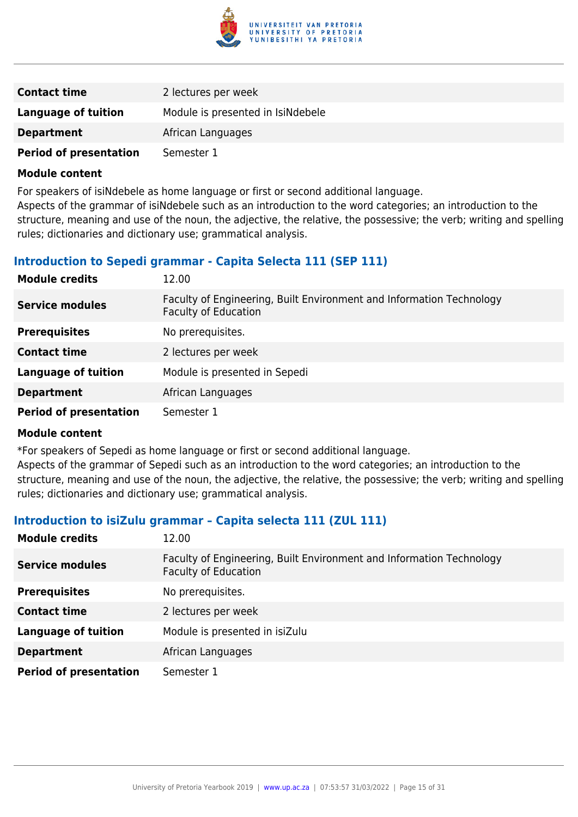

| <b>Contact time</b>           | 2 lectures per week               |
|-------------------------------|-----------------------------------|
| Language of tuition           | Module is presented in IsiNdebele |
| <b>Department</b>             | African Languages                 |
| <b>Period of presentation</b> | Semester 1                        |

For speakers of isiNdebele as home language or first or second additional language.

Aspects of the grammar of isiNdebele such as an introduction to the word categories; an introduction to the structure, meaning and use of the noun, the adjective, the relative, the possessive; the verb; writing and spelling rules; dictionaries and dictionary use; grammatical analysis.

#### **Introduction to Sepedi grammar - Capita Selecta 111 (SEP 111)**

| <b>Module credits</b>         | 12.00                                                                                               |
|-------------------------------|-----------------------------------------------------------------------------------------------------|
| <b>Service modules</b>        | Faculty of Engineering, Built Environment and Information Technology<br><b>Faculty of Education</b> |
| <b>Prerequisites</b>          | No prerequisites.                                                                                   |
| <b>Contact time</b>           | 2 lectures per week                                                                                 |
| <b>Language of tuition</b>    | Module is presented in Sepedi                                                                       |
| <b>Department</b>             | African Languages                                                                                   |
| <b>Period of presentation</b> | Semester 1                                                                                          |

#### **Module content**

\*For speakers of Sepedi as home language or first or second additional language.

Aspects of the grammar of Sepedi such as an introduction to the word categories; an introduction to the structure, meaning and use of the noun, the adjective, the relative, the possessive; the verb; writing and spelling rules; dictionaries and dictionary use; grammatical analysis.

#### **Introduction to isiZulu grammar – Capita selecta 111 (ZUL 111)**

| <b>Module credits</b>         | 12.00                                                                                               |
|-------------------------------|-----------------------------------------------------------------------------------------------------|
| <b>Service modules</b>        | Faculty of Engineering, Built Environment and Information Technology<br><b>Faculty of Education</b> |
| <b>Prerequisites</b>          | No prerequisites.                                                                                   |
| <b>Contact time</b>           | 2 lectures per week                                                                                 |
| <b>Language of tuition</b>    | Module is presented in isiZulu                                                                      |
| <b>Department</b>             | African Languages                                                                                   |
| <b>Period of presentation</b> | Semester 1                                                                                          |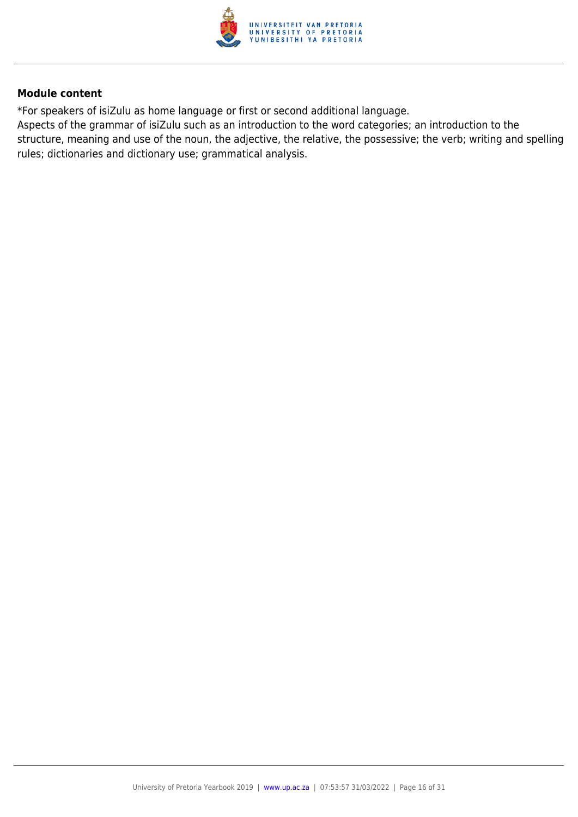

\*For speakers of isiZulu as home language or first or second additional language.

Aspects of the grammar of isiZulu such as an introduction to the word categories; an introduction to the structure, meaning and use of the noun, the adjective, the relative, the possessive; the verb; writing and spelling rules; dictionaries and dictionary use; grammatical analysis.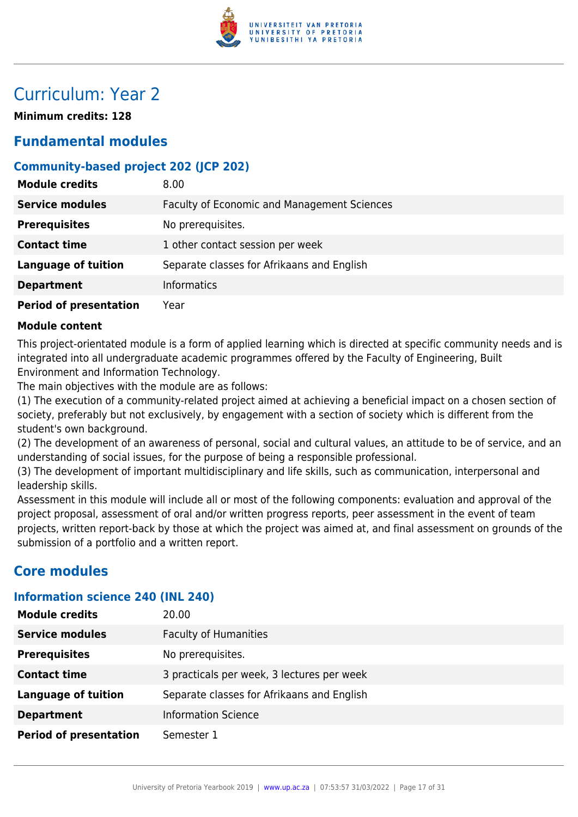

# Curriculum: Year 2

**Minimum credits: 128**

## **Fundamental modules**

## **Community-based project 202 (JCP 202)**

| <b>Module credits</b>         | 8.00                                               |
|-------------------------------|----------------------------------------------------|
| <b>Service modules</b>        | <b>Faculty of Economic and Management Sciences</b> |
| <b>Prerequisites</b>          | No prerequisites.                                  |
| <b>Contact time</b>           | 1 other contact session per week                   |
| <b>Language of tuition</b>    | Separate classes for Afrikaans and English         |
| <b>Department</b>             | Informatics                                        |
| <b>Period of presentation</b> | Year                                               |

#### **Module content**

This project-orientated module is a form of applied learning which is directed at specific community needs and is integrated into all undergraduate academic programmes offered by the Faculty of Engineering, Built Environment and Information Technology.

The main objectives with the module are as follows:

(1) The execution of a community-related project aimed at achieving a beneficial impact on a chosen section of society, preferably but not exclusively, by engagement with a section of society which is different from the student's own background.

(2) The development of an awareness of personal, social and cultural values, an attitude to be of service, and an understanding of social issues, for the purpose of being a responsible professional.

(3) The development of important multidisciplinary and life skills, such as communication, interpersonal and leadership skills.

Assessment in this module will include all or most of the following components: evaluation and approval of the project proposal, assessment of oral and/or written progress reports, peer assessment in the event of team projects, written report-back by those at which the project was aimed at, and final assessment on grounds of the submission of a portfolio and a written report.

## **Core modules**

#### **Information science 240 (INL 240)**

| <b>Module credits</b>         | 20.00                                      |
|-------------------------------|--------------------------------------------|
| <b>Service modules</b>        | <b>Faculty of Humanities</b>               |
| <b>Prerequisites</b>          | No prerequisites.                          |
| <b>Contact time</b>           | 3 practicals per week, 3 lectures per week |
| <b>Language of tuition</b>    | Separate classes for Afrikaans and English |
| <b>Department</b>             | <b>Information Science</b>                 |
| <b>Period of presentation</b> | Semester 1                                 |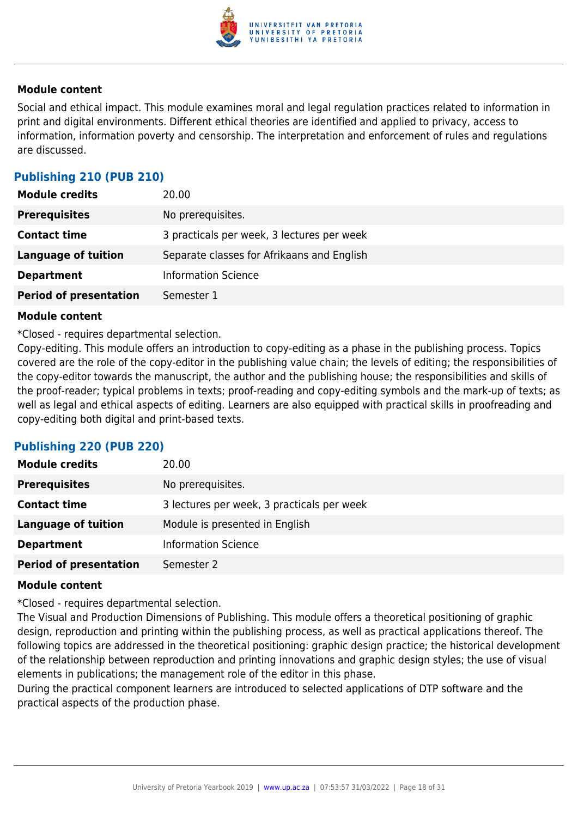

Social and ethical impact. This module examines moral and legal regulation practices related to information in print and digital environments. Different ethical theories are identified and applied to privacy, access to information, information poverty and censorship. The interpretation and enforcement of rules and regulations are discussed.

## **Publishing 210 (PUB 210)**

| <b>Module credits</b>         | 20.00                                      |
|-------------------------------|--------------------------------------------|
| <b>Prerequisites</b>          | No prerequisites.                          |
| <b>Contact time</b>           | 3 practicals per week, 3 lectures per week |
| <b>Language of tuition</b>    | Separate classes for Afrikaans and English |
| <b>Department</b>             | <b>Information Science</b>                 |
| <b>Period of presentation</b> | Semester 1                                 |

#### **Module content**

\*Closed - requires departmental selection.

Copy-editing. This module offers an introduction to copy-editing as a phase in the publishing process. Topics covered are the role of the copy-editor in the publishing value chain; the levels of editing; the responsibilities of the copy-editor towards the manuscript, the author and the publishing house; the responsibilities and skills of the proof-reader; typical problems in texts; proof-reading and copy-editing symbols and the mark-up of texts; as well as legal and ethical aspects of editing. Learners are also equipped with practical skills in proofreading and copy-editing both digital and print-based texts.

#### **Publishing 220 (PUB 220)**

| <b>Module credits</b>         | 20.00                                      |
|-------------------------------|--------------------------------------------|
| <b>Prerequisites</b>          | No prerequisites.                          |
| <b>Contact time</b>           | 3 lectures per week, 3 practicals per week |
| <b>Language of tuition</b>    | Module is presented in English             |
| <b>Department</b>             | <b>Information Science</b>                 |
| <b>Period of presentation</b> | Semester 2                                 |

#### **Module content**

\*Closed - requires departmental selection.

The Visual and Production Dimensions of Publishing. This module offers a theoretical positioning of graphic design, reproduction and printing within the publishing process, as well as practical applications thereof. The following topics are addressed in the theoretical positioning: graphic design practice; the historical development of the relationship between reproduction and printing innovations and graphic design styles; the use of visual elements in publications; the management role of the editor in this phase.

During the practical component learners are introduced to selected applications of DTP software and the practical aspects of the production phase.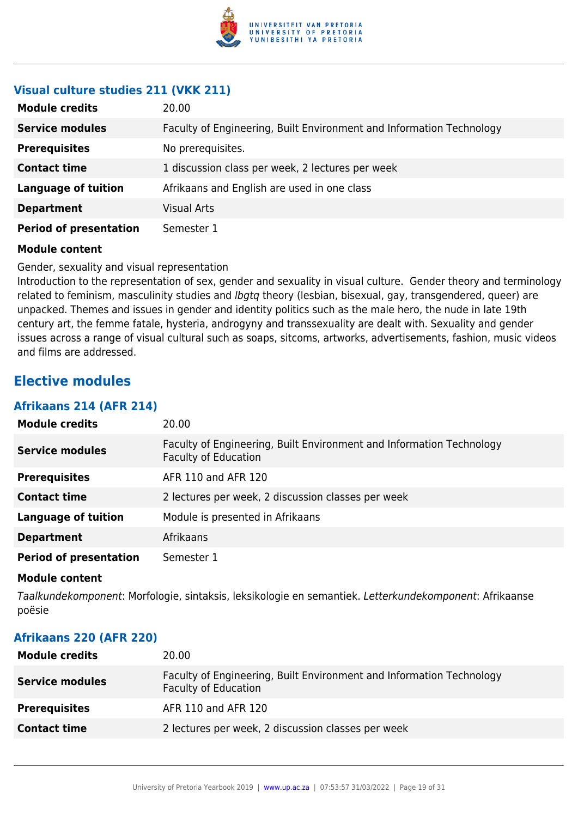

#### **Visual culture studies 211 (VKK 211)**

| <b>Module credits</b>         | 20.00                                                                |
|-------------------------------|----------------------------------------------------------------------|
| <b>Service modules</b>        | Faculty of Engineering, Built Environment and Information Technology |
| <b>Prerequisites</b>          | No prerequisites.                                                    |
| <b>Contact time</b>           | 1 discussion class per week, 2 lectures per week                     |
| <b>Language of tuition</b>    | Afrikaans and English are used in one class                          |
| <b>Department</b>             | <b>Visual Arts</b>                                                   |
| <b>Period of presentation</b> | Semester 1                                                           |

#### **Module content**

Gender, sexuality and visual representation

Introduction to the representation of sex, gender and sexuality in visual culture. Gender theory and terminology related to feminism, masculinity studies and *lbgtq* theory (lesbian, bisexual, gay, transgendered, queer) are unpacked. Themes and issues in gender and identity politics such as the male hero, the nude in late 19th century art, the femme fatale, hysteria, androgyny and transsexuality are dealt with. Sexuality and gender issues across a range of visual cultural such as soaps, sitcoms, artworks, advertisements, fashion, music videos and films are addressed.

## **Elective modules**

#### **Afrikaans 214 (AFR 214)**

| <b>Module credits</b>         | 20.00                                                                                               |
|-------------------------------|-----------------------------------------------------------------------------------------------------|
| <b>Service modules</b>        | Faculty of Engineering, Built Environment and Information Technology<br><b>Faculty of Education</b> |
| <b>Prerequisites</b>          | AFR 110 and AFR 120                                                                                 |
| <b>Contact time</b>           | 2 lectures per week, 2 discussion classes per week                                                  |
| <b>Language of tuition</b>    | Module is presented in Afrikaans                                                                    |
| <b>Department</b>             | Afrikaans                                                                                           |
| <b>Period of presentation</b> | Semester 1                                                                                          |

#### **Module content**

Taalkundekomponent: Morfologie, sintaksis, leksikologie en semantiek. Letterkundekomponent: Afrikaanse poësie

#### **Afrikaans 220 (AFR 220)**

| <b>Module credits</b>  | 20.00                                                                                               |
|------------------------|-----------------------------------------------------------------------------------------------------|
| <b>Service modules</b> | Faculty of Engineering, Built Environment and Information Technology<br><b>Faculty of Education</b> |
| <b>Prerequisites</b>   | AFR 110 and AFR 120                                                                                 |
| <b>Contact time</b>    | 2 lectures per week, 2 discussion classes per week                                                  |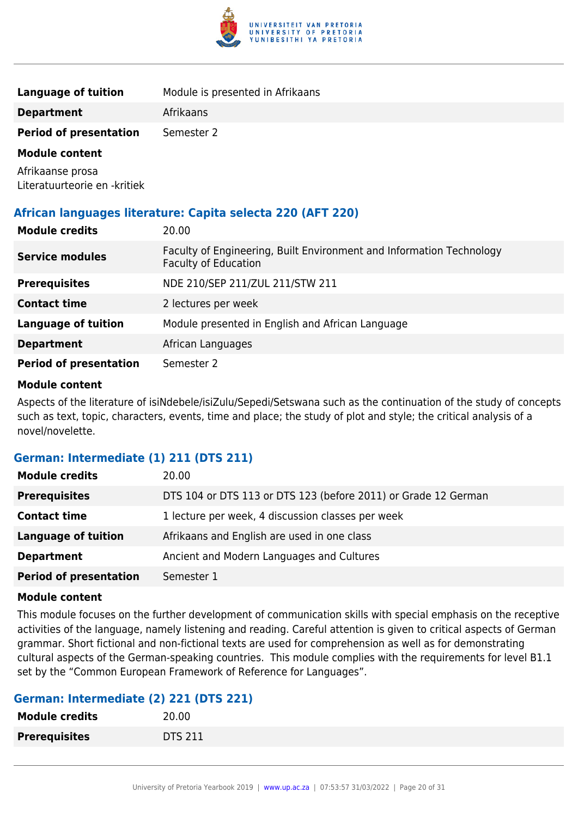

| Language of tuition           | Module is presented in Afrikaans |
|-------------------------------|----------------------------------|
| <b>Department</b>             | Afrikaans                        |
| <b>Period of presentation</b> | Semester 2                       |

Afrikaanse prosa Literatuurteorie en -kritiek

#### **African languages literature: Capita selecta 220 (AFT 220)**

| <b>Module credits</b>         | 20.00                                                                                               |
|-------------------------------|-----------------------------------------------------------------------------------------------------|
| <b>Service modules</b>        | Faculty of Engineering, Built Environment and Information Technology<br><b>Faculty of Education</b> |
| <b>Prerequisites</b>          | NDE 210/SEP 211/ZUL 211/STW 211                                                                     |
| <b>Contact time</b>           | 2 lectures per week                                                                                 |
| <b>Language of tuition</b>    | Module presented in English and African Language                                                    |
| <b>Department</b>             | African Languages                                                                                   |
| <b>Period of presentation</b> | Semester 2                                                                                          |

#### **Module content**

Aspects of the literature of isiNdebele/isiZulu/Sepedi/Setswana such as the continuation of the study of concepts such as text, topic, characters, events, time and place; the study of plot and style; the critical analysis of a novel/novelette.

#### **German: Intermediate (1) 211 (DTS 211)**

| <b>Module credits</b>         | 20.00                                                          |
|-------------------------------|----------------------------------------------------------------|
| <b>Prerequisites</b>          | DTS 104 or DTS 113 or DTS 123 (before 2011) or Grade 12 German |
| <b>Contact time</b>           | 1 lecture per week, 4 discussion classes per week              |
| <b>Language of tuition</b>    | Afrikaans and English are used in one class                    |
| <b>Department</b>             | Ancient and Modern Languages and Cultures                      |
| <b>Period of presentation</b> | Semester 1                                                     |

#### **Module content**

This module focuses on the further development of communication skills with special emphasis on the receptive activities of the language, namely listening and reading. Careful attention is given to critical aspects of German grammar. Short fictional and non-fictional texts are used for comprehension as well as for demonstrating cultural aspects of the German-speaking countries. This module complies with the requirements for level B1.1 set by the "Common European Framework of Reference for Languages".

#### **German: Intermediate (2) 221 (DTS 221)**

| <b>Module credits</b> | 20.00          |
|-----------------------|----------------|
| <b>Prerequisites</b>  | <b>DTS 211</b> |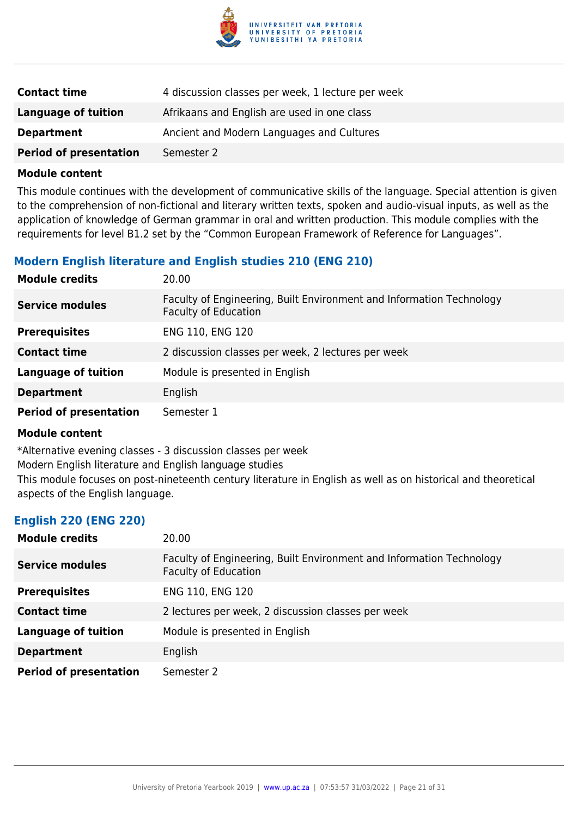

| <b>Contact time</b>           | 4 discussion classes per week, 1 lecture per week |
|-------------------------------|---------------------------------------------------|
| Language of tuition           | Afrikaans and English are used in one class       |
| <b>Department</b>             | Ancient and Modern Languages and Cultures         |
| <b>Period of presentation</b> | Semester 2                                        |

This module continues with the development of communicative skills of the language. Special attention is given to the comprehension of non-fictional and literary written texts, spoken and audio-visual inputs, as well as the application of knowledge of German grammar in oral and written production. This module complies with the requirements for level B1.2 set by the "Common European Framework of Reference for Languages".

#### **Modern English literature and English studies 210 (ENG 210)**

| <b>Module credits</b>         | 20.00                                                                                               |
|-------------------------------|-----------------------------------------------------------------------------------------------------|
| <b>Service modules</b>        | Faculty of Engineering, Built Environment and Information Technology<br><b>Faculty of Education</b> |
| <b>Prerequisites</b>          | ENG 110, ENG 120                                                                                    |
| <b>Contact time</b>           | 2 discussion classes per week, 2 lectures per week                                                  |
| <b>Language of tuition</b>    | Module is presented in English                                                                      |
| <b>Department</b>             | English                                                                                             |
| <b>Period of presentation</b> | Semester 1                                                                                          |

#### **Module content**

\*Alternative evening classes - 3 discussion classes per week Modern English literature and English language studies This module focuses on post-nineteenth century literature in English as well as on historical and theoretical aspects of the English language.

#### **English 220 (ENG 220)**

| <b>Module credits</b>         | 20.00                                                                                               |
|-------------------------------|-----------------------------------------------------------------------------------------------------|
| <b>Service modules</b>        | Faculty of Engineering, Built Environment and Information Technology<br><b>Faculty of Education</b> |
| <b>Prerequisites</b>          | ENG 110, ENG 120                                                                                    |
| <b>Contact time</b>           | 2 lectures per week, 2 discussion classes per week                                                  |
| <b>Language of tuition</b>    | Module is presented in English                                                                      |
| <b>Department</b>             | English                                                                                             |
| <b>Period of presentation</b> | Semester 2                                                                                          |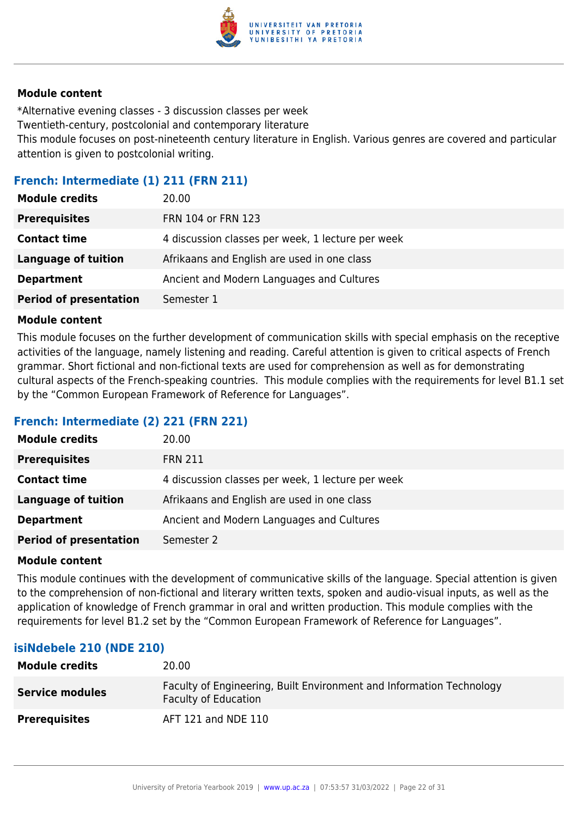

\*Alternative evening classes - 3 discussion classes per week Twentieth-century, postcolonial and contemporary literature This module focuses on post-nineteenth century literature in English. Various genres are covered and particular attention is given to postcolonial writing.

#### **French: Intermediate (1) 211 (FRN 211)**

| <b>Module credits</b>         | 20.00                                             |
|-------------------------------|---------------------------------------------------|
| <b>Prerequisites</b>          | FRN 104 or FRN 123                                |
| <b>Contact time</b>           | 4 discussion classes per week, 1 lecture per week |
| <b>Language of tuition</b>    | Afrikaans and English are used in one class       |
| <b>Department</b>             | Ancient and Modern Languages and Cultures         |
| <b>Period of presentation</b> | Semester 1                                        |

#### **Module content**

This module focuses on the further development of communication skills with special emphasis on the receptive activities of the language, namely listening and reading. Careful attention is given to critical aspects of French grammar. Short fictional and non-fictional texts are used for comprehension as well as for demonstrating cultural aspects of the French-speaking countries. This module complies with the requirements for level B1.1 set by the "Common European Framework of Reference for Languages".

#### **French: Intermediate (2) 221 (FRN 221)**

| <b>Module credits</b>         | 20.00                                             |
|-------------------------------|---------------------------------------------------|
| <b>Prerequisites</b>          | <b>FRN 211</b>                                    |
| <b>Contact time</b>           | 4 discussion classes per week, 1 lecture per week |
| Language of tuition           | Afrikaans and English are used in one class       |
| <b>Department</b>             | Ancient and Modern Languages and Cultures         |
| <b>Period of presentation</b> | Semester 2                                        |

#### **Module content**

This module continues with the development of communicative skills of the language. Special attention is given to the comprehension of non-fictional and literary written texts, spoken and audio-visual inputs, as well as the application of knowledge of French grammar in oral and written production. This module complies with the requirements for level B1.2 set by the "Common European Framework of Reference for Languages".

#### **isiNdebele 210 (NDE 210)**

| <b>Module credits</b>  | 20.00                                                                                        |
|------------------------|----------------------------------------------------------------------------------------------|
| <b>Service modules</b> | Faculty of Engineering, Built Environment and Information Technology<br>Faculty of Education |
| <b>Prerequisites</b>   | AFT 121 and NDE 110                                                                          |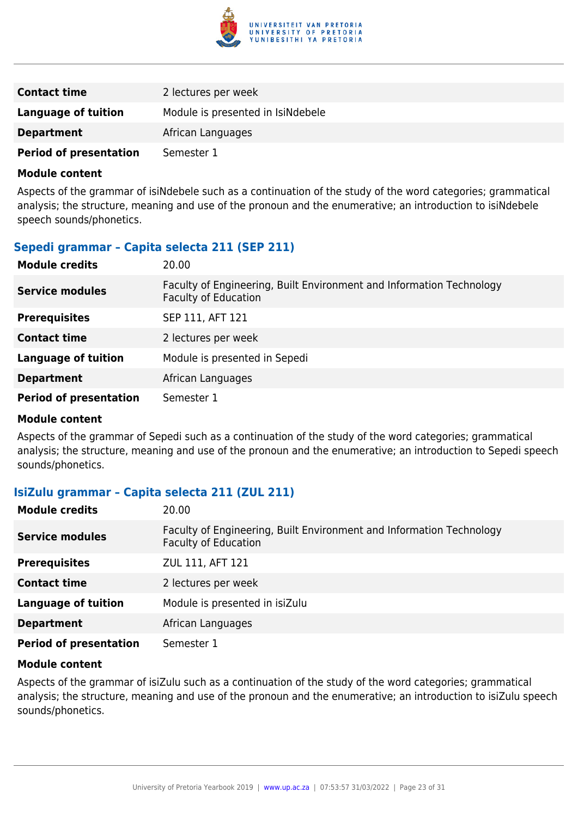

| <b>Contact time</b>           | 2 lectures per week               |
|-------------------------------|-----------------------------------|
| Language of tuition           | Module is presented in IsiNdebele |
| <b>Department</b>             | African Languages                 |
| <b>Period of presentation</b> | Semester 1                        |

Aspects of the grammar of isiNdebele such as a continuation of the study of the word categories; grammatical analysis; the structure, meaning and use of the pronoun and the enumerative; an introduction to isiNdebele speech sounds/phonetics.

#### **Sepedi grammar – Capita selecta 211 (SEP 211)**

| <b>Module credits</b>         | 20.00                                                                                               |
|-------------------------------|-----------------------------------------------------------------------------------------------------|
| <b>Service modules</b>        | Faculty of Engineering, Built Environment and Information Technology<br><b>Faculty of Education</b> |
| <b>Prerequisites</b>          | SEP 111, AFT 121                                                                                    |
| <b>Contact time</b>           | 2 lectures per week                                                                                 |
| <b>Language of tuition</b>    | Module is presented in Sepedi                                                                       |
| <b>Department</b>             | African Languages                                                                                   |
| <b>Period of presentation</b> | Semester 1                                                                                          |

#### **Module content**

Aspects of the grammar of Sepedi such as a continuation of the study of the word categories; grammatical analysis; the structure, meaning and use of the pronoun and the enumerative; an introduction to Sepedi speech sounds/phonetics.

#### **IsiZulu grammar – Capita selecta 211 (ZUL 211)**

| <b>Module credits</b>         | 20.00                                                                                               |
|-------------------------------|-----------------------------------------------------------------------------------------------------|
| <b>Service modules</b>        | Faculty of Engineering, Built Environment and Information Technology<br><b>Faculty of Education</b> |
| <b>Prerequisites</b>          | ZUL 111, AFT 121                                                                                    |
| <b>Contact time</b>           | 2 lectures per week                                                                                 |
| <b>Language of tuition</b>    | Module is presented in isiZulu                                                                      |
| <b>Department</b>             | African Languages                                                                                   |
| <b>Period of presentation</b> | Semester 1                                                                                          |

#### **Module content**

Aspects of the grammar of isiZulu such as a continuation of the study of the word categories; grammatical analysis; the structure, meaning and use of the pronoun and the enumerative; an introduction to isiZulu speech sounds/phonetics.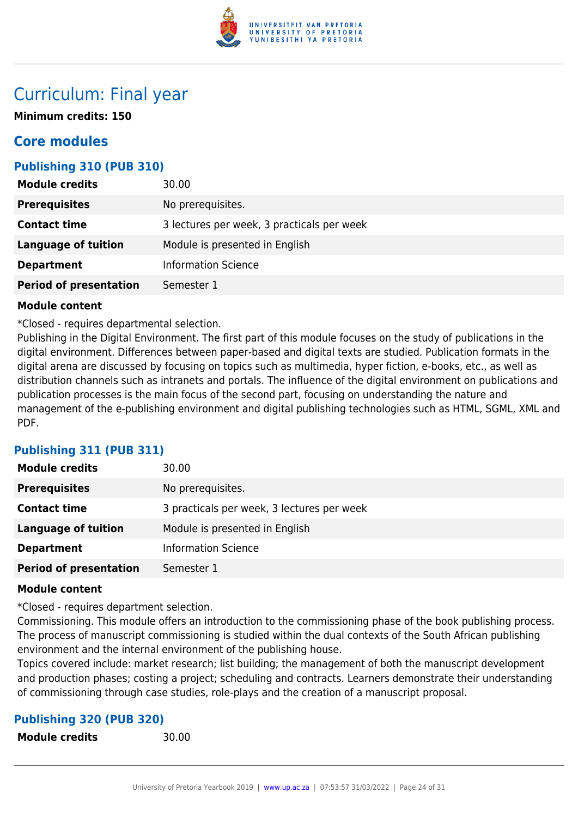

# Curriculum: Final year

**Minimum credits: 150**

## **Core modules**

#### **Publishing 310 (PUB 310)**

| <b>Module credits</b>         | 30.00                                      |
|-------------------------------|--------------------------------------------|
| <b>Prerequisites</b>          | No prerequisites.                          |
| <b>Contact time</b>           | 3 lectures per week, 3 practicals per week |
| Language of tuition           | Module is presented in English             |
| <b>Department</b>             | <b>Information Science</b>                 |
| <b>Period of presentation</b> | Semester 1                                 |

#### **Module content**

\*Closed - requires departmental selection.

Publishing in the Digital Environment. The first part of this module focuses on the study of publications in the digital environment. Differences between paper-based and digital texts are studied. Publication formats in the digital arena are discussed by focusing on topics such as multimedia, hyper fiction, e-books, etc., as well as distribution channels such as intranets and portals. The influence of the digital environment on publications and publication processes is the main focus of the second part, focusing on understanding the nature and management of the e-publishing environment and digital publishing technologies such as HTML, SGML, XML and PDF.

#### **Publishing 311 (PUB 311)**

| <b>Module credits</b>         | 30.00                                      |
|-------------------------------|--------------------------------------------|
| <b>Prerequisites</b>          | No prerequisites.                          |
| <b>Contact time</b>           | 3 practicals per week, 3 lectures per week |
| Language of tuition           | Module is presented in English             |
| <b>Department</b>             | <b>Information Science</b>                 |
| <b>Period of presentation</b> | Semester 1                                 |

#### **Module content**

\*Closed - requires department selection.

Commissioning. This module offers an introduction to the commissioning phase of the book publishing process. The process of manuscript commissioning is studied within the dual contexts of the South African publishing environment and the internal environment of the publishing house.

Topics covered include: market research; list building; the management of both the manuscript development and production phases; costing a project; scheduling and contracts. Learners demonstrate their understanding of commissioning through case studies, role-plays and the creation of a manuscript proposal.

#### **Publishing 320 (PUB 320)**

**Module credits** 30.00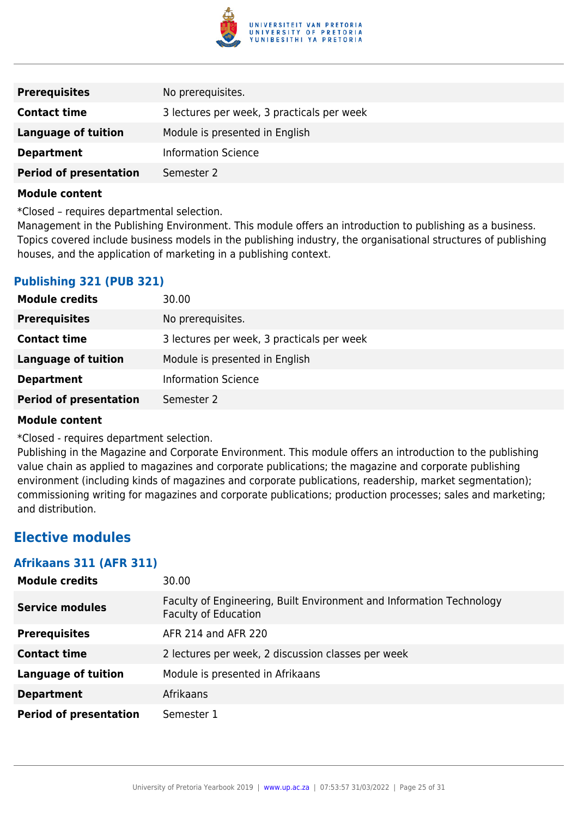

| <b>Prerequisites</b>          | No prerequisites.                          |
|-------------------------------|--------------------------------------------|
| <b>Contact time</b>           | 3 lectures per week, 3 practicals per week |
| Language of tuition           | Module is presented in English             |
| <b>Department</b>             | <b>Information Science</b>                 |
| <b>Period of presentation</b> | Semester 2                                 |

\*Closed – requires departmental selection.

Management in the Publishing Environment. This module offers an introduction to publishing as a business. Topics covered include business models in the publishing industry, the organisational structures of publishing houses, and the application of marketing in a publishing context.

#### **Publishing 321 (PUB 321)**

| <b>Module credits</b>         | 30.00                                      |
|-------------------------------|--------------------------------------------|
| <b>Prerequisites</b>          | No prerequisites.                          |
| <b>Contact time</b>           | 3 lectures per week, 3 practicals per week |
| Language of tuition           | Module is presented in English             |
| <b>Department</b>             | <b>Information Science</b>                 |
| <b>Period of presentation</b> | Semester 2                                 |

#### **Module content**

\*Closed - requires department selection.

Publishing in the Magazine and Corporate Environment. This module offers an introduction to the publishing value chain as applied to magazines and corporate publications; the magazine and corporate publishing environment (including kinds of magazines and corporate publications, readership, market segmentation); commissioning writing for magazines and corporate publications; production processes; sales and marketing; and distribution.

## **Elective modules**

#### **Afrikaans 311 (AFR 311)**

| <b>Module credits</b>         | 30.00                                                                                               |
|-------------------------------|-----------------------------------------------------------------------------------------------------|
| <b>Service modules</b>        | Faculty of Engineering, Built Environment and Information Technology<br><b>Faculty of Education</b> |
| <b>Prerequisites</b>          | AFR 214 and AFR 220                                                                                 |
| <b>Contact time</b>           | 2 lectures per week, 2 discussion classes per week                                                  |
| <b>Language of tuition</b>    | Module is presented in Afrikaans                                                                    |
| <b>Department</b>             | Afrikaans                                                                                           |
| <b>Period of presentation</b> | Semester 1                                                                                          |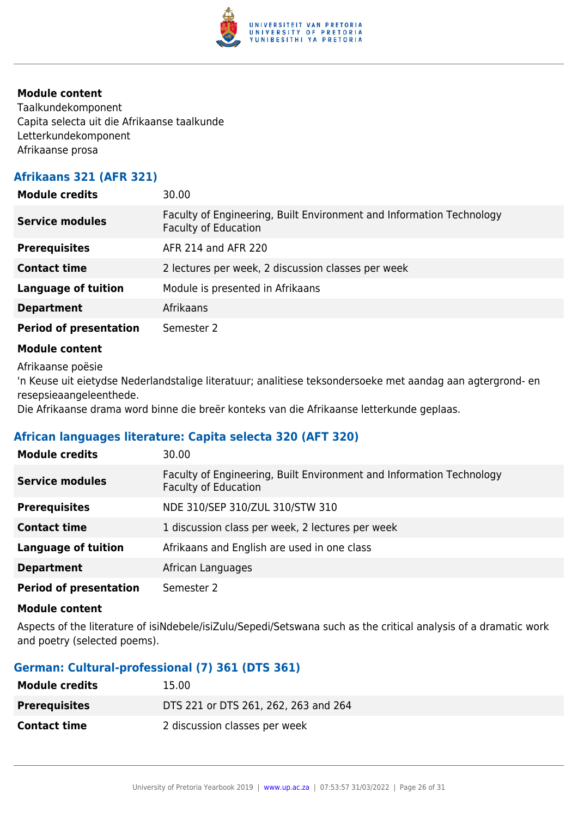

Taalkundekomponent Capita selecta uit die Afrikaanse taalkunde Letterkundekomponent Afrikaanse prosa

## **Afrikaans 321 (AFR 321)**

| <b>Module credits</b>         | 30.00                                                                                               |
|-------------------------------|-----------------------------------------------------------------------------------------------------|
| <b>Service modules</b>        | Faculty of Engineering, Built Environment and Information Technology<br><b>Faculty of Education</b> |
| <b>Prerequisites</b>          | AFR 214 and AFR 220                                                                                 |
| <b>Contact time</b>           | 2 lectures per week, 2 discussion classes per week                                                  |
| <b>Language of tuition</b>    | Module is presented in Afrikaans                                                                    |
| <b>Department</b>             | Afrikaans                                                                                           |
| <b>Period of presentation</b> | Semester 2                                                                                          |
|                               |                                                                                                     |

#### **Module content**

Afrikaanse poësie

'n Keuse uit eietydse Nederlandstalige literatuur; analitiese teksondersoeke met aandag aan agtergrond- en resepsieaangeleenthede.

Die Afrikaanse drama word binne die breër konteks van die Afrikaanse letterkunde geplaas.

#### **African languages literature: Capita selecta 320 (AFT 320)**

| <b>Module credits</b>         | 30.00                                                                                               |
|-------------------------------|-----------------------------------------------------------------------------------------------------|
| <b>Service modules</b>        | Faculty of Engineering, Built Environment and Information Technology<br><b>Faculty of Education</b> |
| <b>Prerequisites</b>          | NDE 310/SEP 310/ZUL 310/STW 310                                                                     |
| <b>Contact time</b>           | 1 discussion class per week, 2 lectures per week                                                    |
| <b>Language of tuition</b>    | Afrikaans and English are used in one class                                                         |
| <b>Department</b>             | African Languages                                                                                   |
| <b>Period of presentation</b> | Semester 2                                                                                          |

#### **Module content**

Aspects of the literature of isiNdebele/isiZulu/Sepedi/Setswana such as the critical analysis of a dramatic work and poetry (selected poems).

#### **German: Cultural-professional (7) 361 (DTS 361)**

| <b>Module credits</b> | 15.00                                |
|-----------------------|--------------------------------------|
| <b>Prerequisites</b>  | DTS 221 or DTS 261, 262, 263 and 264 |
| <b>Contact time</b>   | 2 discussion classes per week        |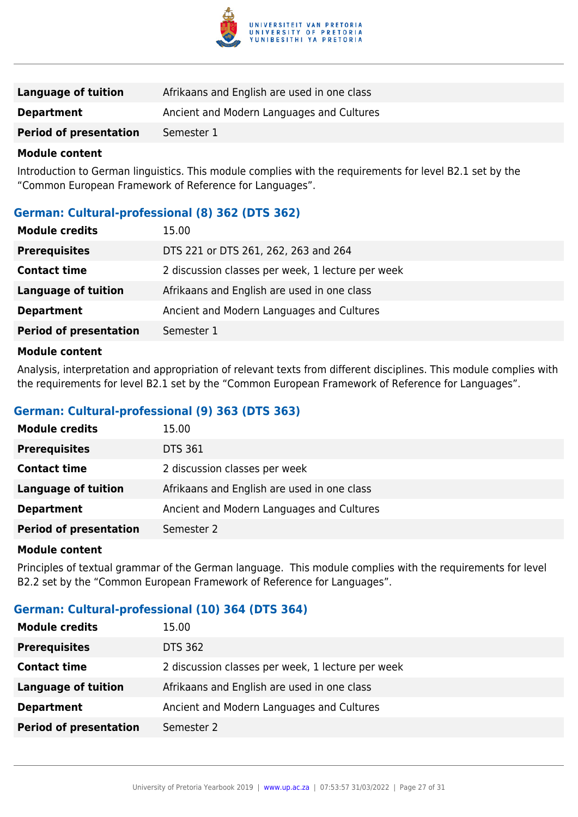

| <b>Language of tuition</b>    | Afrikaans and English are used in one class |
|-------------------------------|---------------------------------------------|
| <b>Department</b>             | Ancient and Modern Languages and Cultures   |
| <b>Period of presentation</b> | Semester 1                                  |

Introduction to German linguistics. This module complies with the requirements for level B2.1 set by the "Common European Framework of Reference for Languages".

#### **German: Cultural-professional (8) 362 (DTS 362)**

| <b>Module credits</b>         | 15.00                                             |
|-------------------------------|---------------------------------------------------|
| <b>Prerequisites</b>          | DTS 221 or DTS 261, 262, 263 and 264              |
| <b>Contact time</b>           | 2 discussion classes per week, 1 lecture per week |
| <b>Language of tuition</b>    | Afrikaans and English are used in one class       |
| <b>Department</b>             | Ancient and Modern Languages and Cultures         |
| <b>Period of presentation</b> | Semester 1                                        |
| <b>Adaminia</b> agustant      |                                                   |

#### **Module content**

Analysis, interpretation and appropriation of relevant texts from different disciplines. This module complies with the requirements for level B2.1 set by the "Common European Framework of Reference for Languages".

#### **German: Cultural-professional (9) 363 (DTS 363)**

| <b>Module credits</b>         | 15.00                                       |
|-------------------------------|---------------------------------------------|
| <b>Prerequisites</b>          | <b>DTS 361</b>                              |
| <b>Contact time</b>           | 2 discussion classes per week               |
| Language of tuition           | Afrikaans and English are used in one class |
| <b>Department</b>             | Ancient and Modern Languages and Cultures   |
| <b>Period of presentation</b> | Semester 2                                  |

#### **Module content**

Principles of textual grammar of the German language. This module complies with the requirements for level B2.2 set by the "Common European Framework of Reference for Languages".

#### **German: Cultural-professional (10) 364 (DTS 364)**

| <b>Module credits</b>         | 15.00                                             |
|-------------------------------|---------------------------------------------------|
| <b>Prerequisites</b>          | <b>DTS 362</b>                                    |
| <b>Contact time</b>           | 2 discussion classes per week, 1 lecture per week |
| <b>Language of tuition</b>    | Afrikaans and English are used in one class       |
| <b>Department</b>             | Ancient and Modern Languages and Cultures         |
| <b>Period of presentation</b> | Semester 2                                        |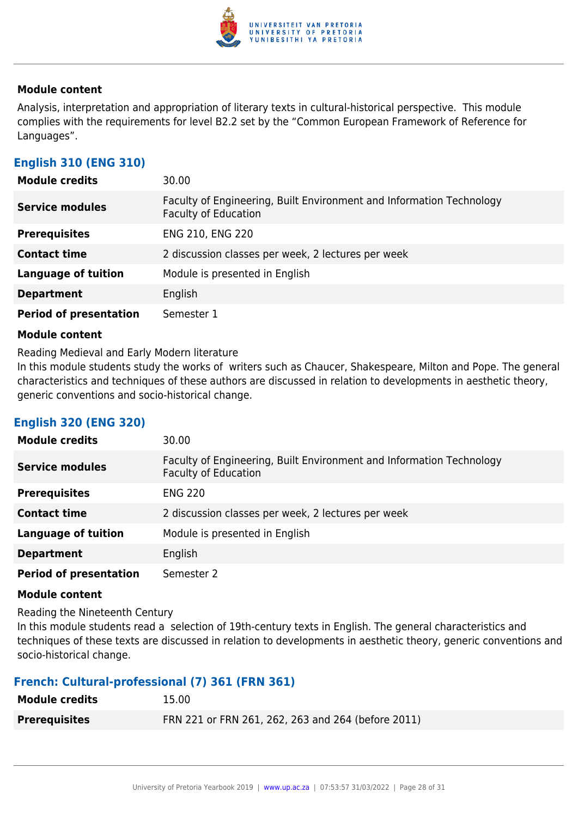

Analysis, interpretation and appropriation of literary texts in cultural-historical perspective. This module complies with the requirements for level B2.2 set by the "Common European Framework of Reference for Languages".

## **English 310 (ENG 310)**

| <b>Module credits</b>         | 30.00                                                                                               |
|-------------------------------|-----------------------------------------------------------------------------------------------------|
| <b>Service modules</b>        | Faculty of Engineering, Built Environment and Information Technology<br><b>Faculty of Education</b> |
| <b>Prerequisites</b>          | ENG 210, ENG 220                                                                                    |
| <b>Contact time</b>           | 2 discussion classes per week, 2 lectures per week                                                  |
| <b>Language of tuition</b>    | Module is presented in English                                                                      |
| <b>Department</b>             | English                                                                                             |
| <b>Period of presentation</b> | Semester 1                                                                                          |

#### **Module content**

Reading Medieval and Early Modern literature

In this module students study the works of writers such as Chaucer, Shakespeare, Milton and Pope. The general characteristics and techniques of these authors are discussed in relation to developments in aesthetic theory, generic conventions and socio-historical change.

#### **English 320 (ENG 320)**

| <b>Module credits</b>         | 30.00                                                                                               |
|-------------------------------|-----------------------------------------------------------------------------------------------------|
| <b>Service modules</b>        | Faculty of Engineering, Built Environment and Information Technology<br><b>Faculty of Education</b> |
| <b>Prerequisites</b>          | <b>ENG 220</b>                                                                                      |
| <b>Contact time</b>           | 2 discussion classes per week, 2 lectures per week                                                  |
| <b>Language of tuition</b>    | Module is presented in English                                                                      |
| <b>Department</b>             | English                                                                                             |
| <b>Period of presentation</b> | Semester 2                                                                                          |

#### **Module content**

Reading the Nineteenth Century

In this module students read a selection of 19th-century texts in English. The general characteristics and techniques of these texts are discussed in relation to developments in aesthetic theory, generic conventions and socio-historical change.

#### **French: Cultural-professional (7) 361 (FRN 361)**

| <b>Module credits</b> | 15.00                                              |
|-----------------------|----------------------------------------------------|
| <b>Prerequisites</b>  | FRN 221 or FRN 261, 262, 263 and 264 (before 2011) |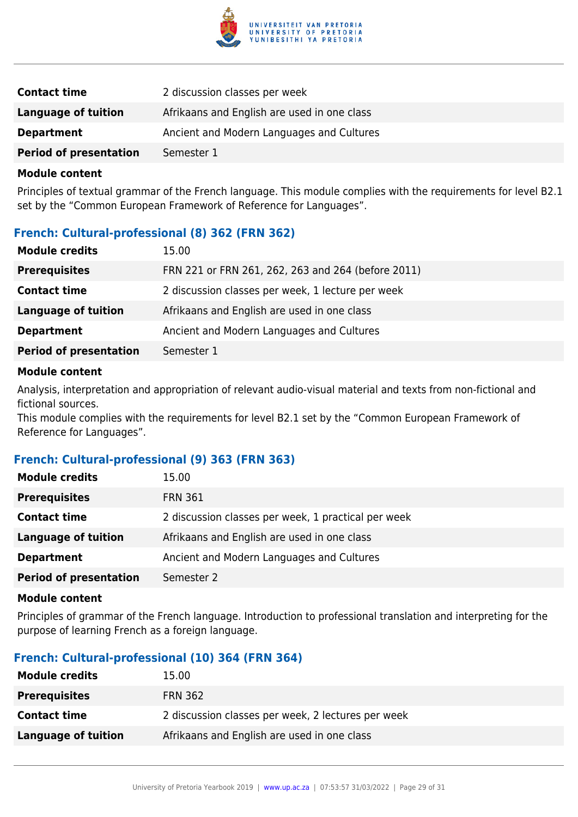

| <b>Contact time</b>           | 2 discussion classes per week               |
|-------------------------------|---------------------------------------------|
| Language of tuition           | Afrikaans and English are used in one class |
| <b>Department</b>             | Ancient and Modern Languages and Cultures   |
| <b>Period of presentation</b> | Semester 1                                  |

Principles of textual grammar of the French language. This module complies with the requirements for level B2.1 set by the "Common European Framework of Reference for Languages".

#### **French: Cultural-professional (8) 362 (FRN 362)**

| <b>Module credits</b>         | 15.00                                              |
|-------------------------------|----------------------------------------------------|
| <b>Prerequisites</b>          | FRN 221 or FRN 261, 262, 263 and 264 (before 2011) |
| <b>Contact time</b>           | 2 discussion classes per week, 1 lecture per week  |
| Language of tuition           | Afrikaans and English are used in one class        |
| <b>Department</b>             | Ancient and Modern Languages and Cultures          |
| <b>Period of presentation</b> | Semester 1                                         |

#### **Module content**

Analysis, interpretation and appropriation of relevant audio-visual material and texts from non-fictional and fictional sources.

This module complies with the requirements for level B2.1 set by the "Common European Framework of Reference for Languages".

#### **French: Cultural-professional (9) 363 (FRN 363)**

| <b>Module credits</b>         | 15.00                                               |
|-------------------------------|-----------------------------------------------------|
| <b>Prerequisites</b>          | <b>FRN 361</b>                                      |
| <b>Contact time</b>           | 2 discussion classes per week, 1 practical per week |
| <b>Language of tuition</b>    | Afrikaans and English are used in one class         |
| <b>Department</b>             | Ancient and Modern Languages and Cultures           |
| <b>Period of presentation</b> | Semester 2                                          |

#### **Module content**

Principles of grammar of the French language. Introduction to professional translation and interpreting for the purpose of learning French as a foreign language.

#### **French: Cultural-professional (10) 364 (FRN 364)**

| <b>Module credits</b> | 15.00                                              |
|-----------------------|----------------------------------------------------|
| <b>Prerequisites</b>  | <b>FRN 362</b>                                     |
| <b>Contact time</b>   | 2 discussion classes per week, 2 lectures per week |
| Language of tuition   | Afrikaans and English are used in one class        |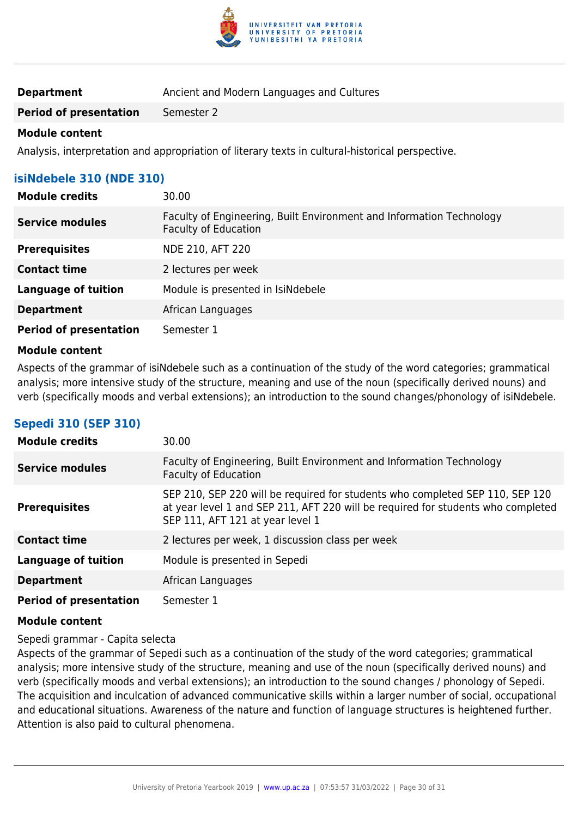

| <b>Department</b> | Ancient and Modern Languages and Cultures |
|-------------------|-------------------------------------------|
|-------------------|-------------------------------------------|

**Period of presentation** Semester 2

#### **Module content**

Analysis, interpretation and appropriation of literary texts in cultural-historical perspective.

## **isiNdebele 310 (NDE 310)**

| <b>Module credits</b>         | 30.00                                                                                               |
|-------------------------------|-----------------------------------------------------------------------------------------------------|
| <b>Service modules</b>        | Faculty of Engineering, Built Environment and Information Technology<br><b>Faculty of Education</b> |
| <b>Prerequisites</b>          | NDE 210, AFT 220                                                                                    |
| <b>Contact time</b>           | 2 lectures per week                                                                                 |
| <b>Language of tuition</b>    | Module is presented in IsiNdebele                                                                   |
| <b>Department</b>             | African Languages                                                                                   |
| <b>Period of presentation</b> | Semester 1                                                                                          |

#### **Module content**

Aspects of the grammar of isiNdebele such as a continuation of the study of the word categories; grammatical analysis; more intensive study of the structure, meaning and use of the noun (specifically derived nouns) and verb (specifically moods and verbal extensions); an introduction to the sound changes/phonology of isiNdebele.

#### **Sepedi 310 (SEP 310)**

| <b>Module credits</b>         | 30.00                                                                                                                                                                                                 |
|-------------------------------|-------------------------------------------------------------------------------------------------------------------------------------------------------------------------------------------------------|
| <b>Service modules</b>        | Faculty of Engineering, Built Environment and Information Technology<br><b>Faculty of Education</b>                                                                                                   |
| <b>Prerequisites</b>          | SEP 210, SEP 220 will be required for students who completed SEP 110, SEP 120<br>at year level 1 and SEP 211, AFT 220 will be required for students who completed<br>SEP 111, AFT 121 at year level 1 |
| <b>Contact time</b>           | 2 lectures per week, 1 discussion class per week                                                                                                                                                      |
| <b>Language of tuition</b>    | Module is presented in Sepedi                                                                                                                                                                         |
| <b>Department</b>             | African Languages                                                                                                                                                                                     |
| <b>Period of presentation</b> | Semester 1                                                                                                                                                                                            |

#### **Module content**

Sepedi grammar - Capita selecta

Aspects of the grammar of Sepedi such as a continuation of the study of the word categories; grammatical analysis; more intensive study of the structure, meaning and use of the noun (specifically derived nouns) and verb (specifically moods and verbal extensions); an introduction to the sound changes / phonology of Sepedi. The acquisition and inculcation of advanced communicative skills within a larger number of social, occupational and educational situations. Awareness of the nature and function of language structures is heightened further. Attention is also paid to cultural phenomena.